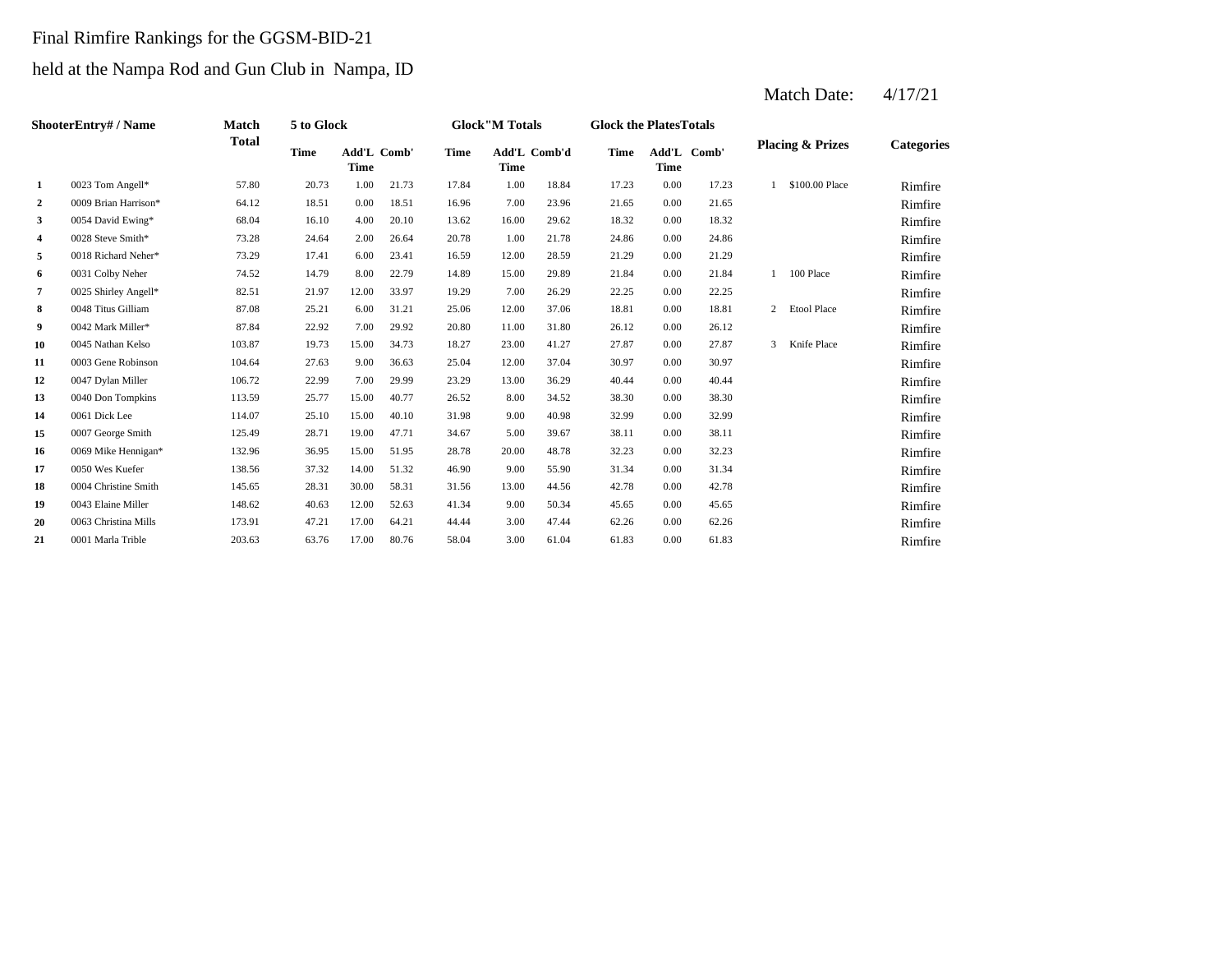## Final Rimfire Rankings for the GGSM-BID-21

## held at the Nampa Rod and Gun Club in Nampa, ID

|                  | ShooterEntry# / Name | Match        | 5 to Glock  |                                   |       |             | <b>Glock</b> "M Totals      |       | <b>Glock the PlatesTotals</b> |      |             |                |                             |                   |
|------------------|----------------------|--------------|-------------|-----------------------------------|-------|-------------|-----------------------------|-------|-------------------------------|------|-------------|----------------|-----------------------------|-------------------|
|                  |                      | <b>Total</b> | <b>Time</b> | <b>Add'L Comb'</b><br><b>Time</b> |       | <b>Time</b> | Add'L Comb'd<br><b>Time</b> |       | <b>Time</b>                   | Time | Add'L Comb' |                | <b>Placing &amp; Prizes</b> | <b>Categories</b> |
| 1                | 0023 Tom Angell*     | 57.80        | 20.73       | 1.00                              | 21.73 | 17.84       | 1.00                        | 18.84 | 17.23                         | 0.00 | 17.23       | $\mathbf{1}$   | \$100.00 Place              | Rimfire           |
| $\boldsymbol{2}$ | 0009 Brian Harrison* | 64.12        | 18.51       | 0.00                              | 18.51 | 16.96       | 7.00                        | 23.96 | 21.65                         | 0.00 | 21.65       |                |                             | Rimfire           |
| 3                | 0054 David Ewing*    | 68.04        | 16.10       | 4.00                              | 20.10 | 13.62       | 16.00                       | 29.62 | 18.32                         | 0.00 | 18.32       |                |                             | Rimfire           |
| 4                | 0028 Steve Smith*    | 73.28        | 24.64       | 2.00                              | 26.64 | 20.78       | 1.00                        | 21.78 | 24.86                         | 0.00 | 24.86       |                |                             | Rimfire           |
| 5                | 0018 Richard Neher*  | 73.29        | 17.41       | 6.00                              | 23.41 | 16.59       | 12.00                       | 28.59 | 21.29                         | 0.00 | 21.29       |                |                             | Rimfire           |
| 6                | 0031 Colby Neher     | 74.52        | 14.79       | 8.00                              | 22.79 | 14.89       | 15.00                       | 29.89 | 21.84                         | 0.00 | 21.84       |                | 100 Place                   | Rimfire           |
| 7                | 0025 Shirley Angell* | 82.51        | 21.97       | 12.00                             | 33.97 | 19.29       | 7.00                        | 26.29 | 22.25                         | 0.00 | 22.25       |                |                             | Rimfire           |
| 8                | 0048 Titus Gilliam   | 87.08        | 25.21       | 6.00                              | 31.21 | 25.06       | 12.00                       | 37.06 | 18.81                         | 0.00 | 18.81       | $\overline{2}$ | <b>Etool Place</b>          | Rimfire           |
| 9                | 0042 Mark Miller*    | 87.84        | 22.92       | 7.00                              | 29.92 | 20.80       | 11.00                       | 31.80 | 26.12                         | 0.00 | 26.12       |                |                             | Rimfire           |
| 10               | 0045 Nathan Kelso    | 103.87       | 19.73       | 15.00                             | 34.73 | 18.27       | 23.00                       | 41.27 | 27.87                         | 0.00 | 27.87       | 3              | Knife Place                 | Rimfire           |
| 11               | 0003 Gene Robinson   | 104.64       | 27.63       | 9.00                              | 36.63 | 25.04       | 12.00                       | 37.04 | 30.97                         | 0.00 | 30.97       |                |                             | Rimfire           |
| 12               | 0047 Dylan Miller    | 106.72       | 22.99       | 7.00                              | 29.99 | 23.29       | 13.00                       | 36.29 | 40.44                         | 0.00 | 40.44       |                |                             | Rimfire           |
| 13               | 0040 Don Tompkins    | 113.59       | 25.77       | 15.00                             | 40.77 | 26.52       | 8.00                        | 34.52 | 38.30                         | 0.00 | 38.30       |                |                             | Rimfire           |
| 14               | 0061 Dick Lee        | 114.07       | 25.10       | 15.00                             | 40.10 | 31.98       | 9.00                        | 40.98 | 32.99                         | 0.00 | 32.99       |                |                             | Rimfire           |
| 15               | 0007 George Smith    | 125.49       | 28.71       | 19.00                             | 47.71 | 34.67       | 5.00                        | 39.67 | 38.11                         | 0.00 | 38.11       |                |                             | Rimfire           |
| 16               | 0069 Mike Hennigan*  | 132.96       | 36.95       | 15.00                             | 51.95 | 28.78       | 20.00                       | 48.78 | 32.23                         | 0.00 | 32.23       |                |                             | Rimfire           |
| 17               | 0050 Wes Kuefer      | 138.56       | 37.32       | 14.00                             | 51.32 | 46.90       | 9.00                        | 55.90 | 31.34                         | 0.00 | 31.34       |                |                             | Rimfire           |
| 18               | 0004 Christine Smith | 145.65       | 28.31       | 30.00                             | 58.31 | 31.56       | 13.00                       | 44.56 | 42.78                         | 0.00 | 42.78       |                |                             | Rimfire           |
| 19               | 0043 Elaine Miller   | 148.62       | 40.63       | 12.00                             | 52.63 | 41.34       | 9.00                        | 50.34 | 45.65                         | 0.00 | 45.65       |                |                             | Rimfire           |
| 20               | 0063 Christina Mills | 173.91       | 47.21       | 17.00                             | 64.21 | 44.44       | 3.00                        | 47.44 | 62.26                         | 0.00 | 62.26       |                |                             | Rimfire           |
| 21               | 0001 Marla Trible    | 203.63       | 63.76       | 17.00                             | 80.76 | 58.04       | 3.00                        | 61.04 | 61.83                         | 0.00 | 61.83       |                |                             | Rimfire           |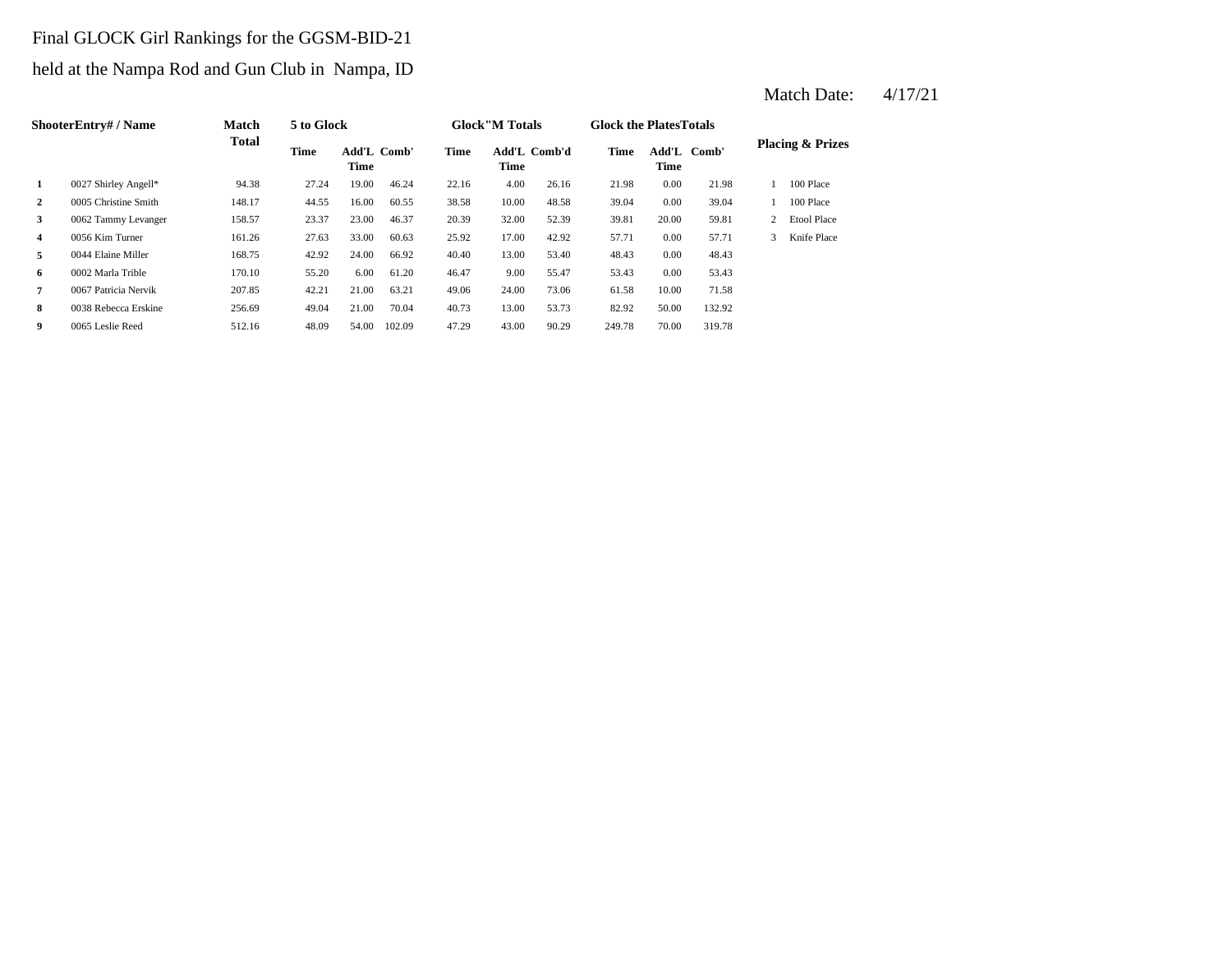## Final GLOCK Girl Rankings for the GGSM-BID-21

## held at the Nampa Rod and Gun Club in Nampa, ID

|                         | <b>ShooterEntry#/Name</b> | Match        | 5 to Glock |                            |        |       | <b>Glock</b> "M Totals |              | <b>Glock the PlatesTotals</b> |       |             |   |                             |
|-------------------------|---------------------------|--------------|------------|----------------------------|--------|-------|------------------------|--------------|-------------------------------|-------|-------------|---|-----------------------------|
|                         |                           | <b>Total</b> | Time       | <b>Add'L Comb'</b><br>Time |        | Time  | <b>Time</b>            | Add'L Comb'd | Time                          | Time  | Add'L Comb' |   | <b>Placing &amp; Prizes</b> |
| 1                       | 0027 Shirley Angell*      | 94.38        | 27.24      | 19.00                      | 46.24  | 22.16 | 4.00                   | 26.16        | 21.98                         | 0.00  | 21.98       |   | 100 Place                   |
| 2                       | 0005 Christine Smith      | 148.17       | 44.55      | 16.00                      | 60.55  | 38.58 | 10.00                  | 48.58        | 39.04                         | 0.00  | 39.04       |   | 100 Place                   |
| 3                       | 0062 Tammy Levanger       | 158.57       | 23.37      | 23.00                      | 46.37  | 20.39 | 32.00                  | 52.39        | 39.81                         | 20.00 | 59.81       | 2 | <b>Etool Place</b>          |
| $\overline{\mathbf{4}}$ | 0056 Kim Turner           | 161.26       | 27.63      | 33.00                      | 60.63  | 25.92 | 17.00                  | 42.92        | 57.71                         | 0.00  | 57.71       | 3 | Knife Place                 |
| 5                       | 0044 Elaine Miller        | 168.75       | 42.92      | 24.00                      | 66.92  | 40.40 | 13.00                  | 53.40        | 48.43                         | 0.00  | 48.43       |   |                             |
| 6                       | 0002 Marla Trible         | 170.10       | 55.20      | 6.00                       | 61.20  | 46.47 | 9.00                   | 55.47        | 53.43                         | 0.00  | 53.43       |   |                             |
| 7                       | 0067 Patricia Nervik      | 207.85       | 42.21      | 21.00                      | 63.21  | 49.06 | 24.00                  | 73.06        | 61.58                         | 10.00 | 71.58       |   |                             |
| 8                       | 0038 Rebecca Erskine      | 256.69       | 49.04      | 21.00                      | 70.04  | 40.73 | 13.00                  | 53.73        | 82.92                         | 50.00 | 132.92      |   |                             |
| 9                       | 0065 Leslie Reed          | 512.16       | 48.09      | 54.00                      | 102.09 | 47.29 | 43.00                  | 90.29        | 249.78                        | 70.00 | 319.78      |   |                             |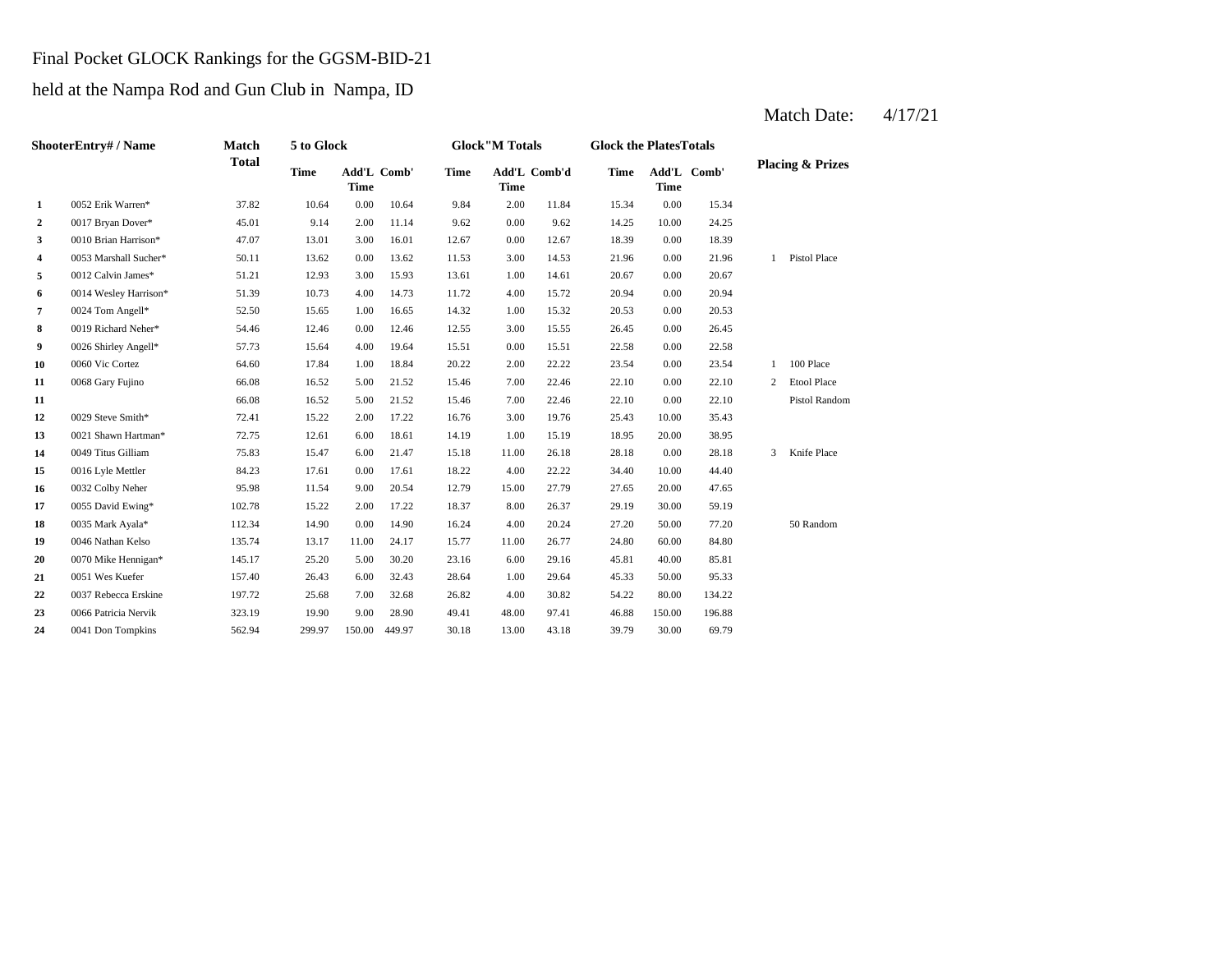### Final Pocket GLOCK Rankings for the GGSM-BID-21

## held at the Nampa Rod and Gun Club in Nampa, ID

|    | ShooterEntry# / Name  | Match        | 5 to Glock |             |             |             | <b>Glock</b> "M Totals |              | <b>Glock the PlatesTotals</b> |             |             |   |                             |
|----|-----------------------|--------------|------------|-------------|-------------|-------------|------------------------|--------------|-------------------------------|-------------|-------------|---|-----------------------------|
|    |                       | <b>Total</b> | Time       | <b>Time</b> | Add'L Comb' | <b>Time</b> | <b>Time</b>            | Add'L Comb'd | <b>Time</b>                   | <b>Time</b> | Add'L Comb' |   | <b>Placing &amp; Prizes</b> |
| 1  | 0052 Erik Warren*     | 37.82        | 10.64      | 0.00        | 10.64       | 9.84        | 2.00                   | 11.84        | 15.34                         | 0.00        | 15.34       |   |                             |
| 2  | 0017 Bryan Dover*     | 45.01        | 9.14       | 2.00        | 11.14       | 9.62        | 0.00                   | 9.62         | 14.25                         | 10.00       | 24.25       |   |                             |
| 3  | 0010 Brian Harrison*  | 47.07        | 13.01      | 3.00        | 16.01       | 12.67       | 0.00                   | 12.67        | 18.39                         | 0.00        | 18.39       |   |                             |
| 4  | 0053 Marshall Sucher* | 50.11        | 13.62      | 0.00        | 13.62       | 11.53       | 3.00                   | 14.53        | 21.96                         | 0.00        | 21.96       | 1 | Pistol Place                |
| 5  | 0012 Calvin James*    | 51.21        | 12.93      | 3.00        | 15.93       | 13.61       | 1.00                   | 14.61        | 20.67                         | 0.00        | 20.67       |   |                             |
| 6  | 0014 Wesley Harrison* | 51.39        | 10.73      | 4.00        | 14.73       | 11.72       | 4.00                   | 15.72        | 20.94                         | 0.00        | 20.94       |   |                             |
| 7  | 0024 Tom Angell*      | 52.50        | 15.65      | 1.00        | 16.65       | 14.32       | 1.00                   | 15.32        | 20.53                         | 0.00        | 20.53       |   |                             |
| 8  | 0019 Richard Neher*   | 54.46        | 12.46      | 0.00        | 12.46       | 12.55       | 3.00                   | 15.55        | 26.45                         | 0.00        | 26.45       |   |                             |
| 9  | 0026 Shirley Angell*  | 57.73        | 15.64      | 4.00        | 19.64       | 15.51       | 0.00                   | 15.51        | 22.58                         | 0.00        | 22.58       |   |                             |
| 10 | 0060 Vic Cortez       | 64.60        | 17.84      | 1.00        | 18.84       | 20.22       | 2.00                   | 22.22        | 23.54                         | 0.00        | 23.54       | 1 | 100 Place                   |
| 11 | 0068 Gary Fujino      | 66.08        | 16.52      | 5.00        | 21.52       | 15.46       | 7.00                   | 22.46        | 22.10                         | 0.00        | 22.10       | 2 | <b>Etool Place</b>          |
| 11 |                       | 66.08        | 16.52      | 5.00        | 21.52       | 15.46       | 7.00                   | 22.46        | 22.10                         | 0.00        | 22.10       |   | Pistol Random               |
| 12 | 0029 Steve Smith*     | 72.41        | 15.22      | 2.00        | 17.22       | 16.76       | 3.00                   | 19.76        | 25.43                         | 10.00       | 35.43       |   |                             |
| 13 | 0021 Shawn Hartman*   | 72.75        | 12.61      | 6.00        | 18.61       | 14.19       | 1.00                   | 15.19        | 18.95                         | 20.00       | 38.95       |   |                             |
| 14 | 0049 Titus Gilliam    | 75.83        | 15.47      | 6.00        | 21.47       | 15.18       | 11.00                  | 26.18        | 28.18                         | 0.00        | 28.18       | 3 | Knife Place                 |
| 15 | 0016 Lyle Mettler     | 84.23        | 17.61      | 0.00        | 17.61       | 18.22       | 4.00                   | 22.22        | 34.40                         | 10.00       | 44.40       |   |                             |
| 16 | 0032 Colby Neher      | 95.98        | 11.54      | 9.00        | 20.54       | 12.79       | 15.00                  | 27.79        | 27.65                         | 20.00       | 47.65       |   |                             |
| 17 | 0055 David Ewing*     | 102.78       | 15.22      | 2.00        | 17.22       | 18.37       | 8.00                   | 26.37        | 29.19                         | 30.00       | 59.19       |   |                             |
| 18 | 0035 Mark Ayala*      | 112.34       | 14.90      | 0.00        | 14.90       | 16.24       | 4.00                   | 20.24        | 27.20                         | 50.00       | 77.20       |   | 50 Random                   |
| 19 | 0046 Nathan Kelso     | 135.74       | 13.17      | 11.00       | 24.17       | 15.77       | 11.00                  | 26.77        | 24.80                         | 60.00       | 84.80       |   |                             |
| 20 | 0070 Mike Hennigan*   | 145.17       | 25.20      | 5.00        | 30.20       | 23.16       | 6.00                   | 29.16        | 45.81                         | 40.00       | 85.81       |   |                             |
| 21 | 0051 Wes Kuefer       | 157.40       | 26.43      | 6.00        | 32.43       | 28.64       | 1.00                   | 29.64        | 45.33                         | 50.00       | 95.33       |   |                             |
| 22 | 0037 Rebecca Erskine  | 197.72       | 25.68      | 7.00        | 32.68       | 26.82       | 4.00                   | 30.82        | 54.22                         | 80.00       | 134.22      |   |                             |
| 23 | 0066 Patricia Nervik  | 323.19       | 19.90      | 9.00        | 28.90       | 49.41       | 48.00                  | 97.41        | 46.88                         | 150.00      | 196.88      |   |                             |
| 24 | 0041 Don Tompkins     | 562.94       | 299.97     | 150.00      | 449.97      | 30.18       | 13.00                  | 43.18        | 39.79                         | 30.00       | 69.79       |   |                             |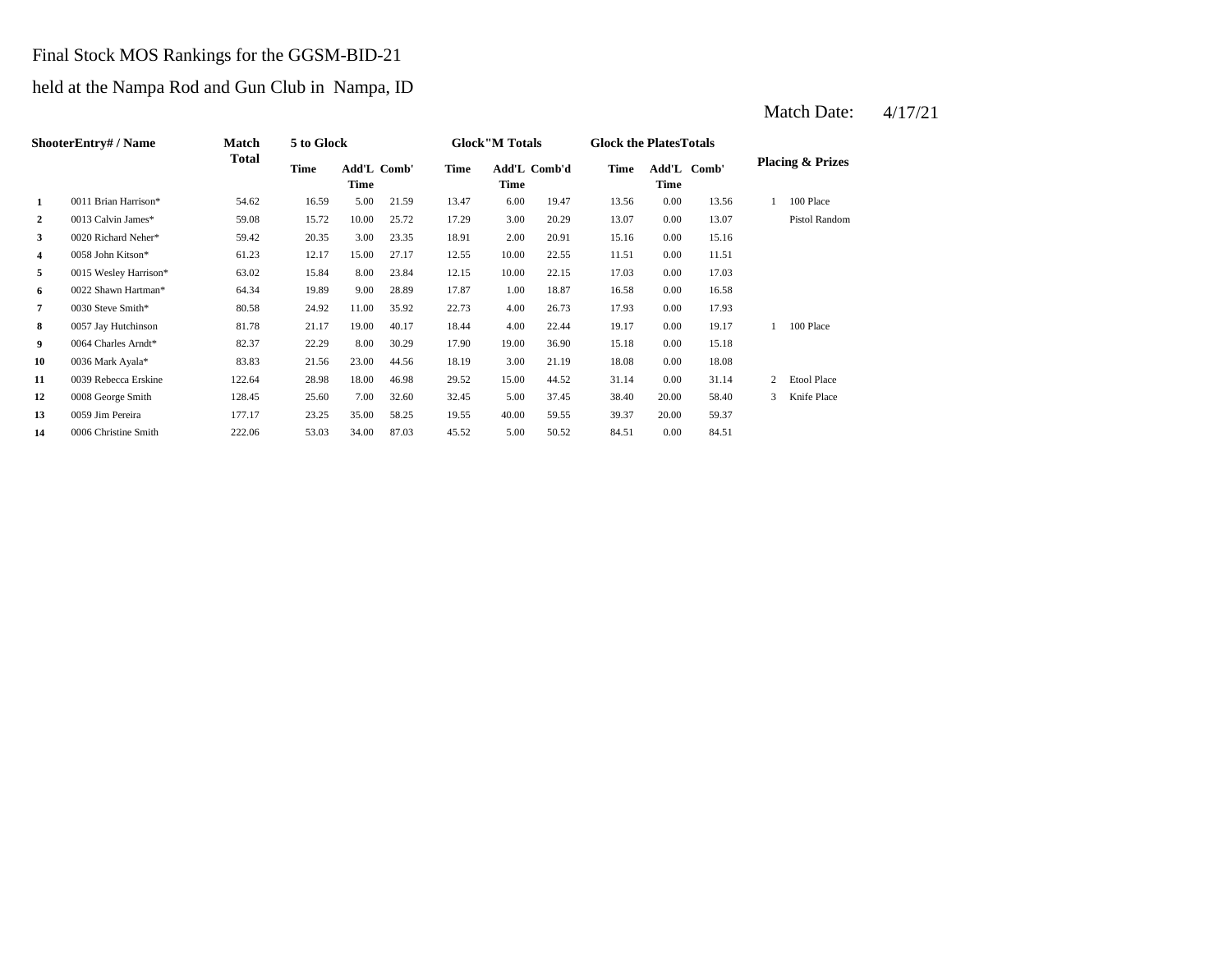### Final Stock MOS Rankings for the GGSM-BID-21

## held at the Nampa Rod and Gun Club in Nampa, ID

|                | ShooterEntry#/Name    | <b>Match</b> | 5 to Glock |                     |       |       | <b>Glock</b> "M Totals |       | <b>Glock the PlatesTotals</b> |                      |       |   |                             |
|----------------|-----------------------|--------------|------------|---------------------|-------|-------|------------------------|-------|-------------------------------|----------------------|-------|---|-----------------------------|
|                |                       | <b>Total</b> | Time       | Add'L Comb'<br>Time |       | Time  | Add'L Comb'd<br>Time   |       | <b>Time</b>                   | Add'L<br><b>Time</b> | Comb' |   | <b>Placing &amp; Prizes</b> |
| 1              | 0011 Brian Harrison*  | 54.62        | 16.59      | 5.00                | 21.59 | 13.47 | 6.00                   | 19.47 | 13.56                         | 0.00                 | 13.56 |   | 100 Place                   |
| $\overline{2}$ | 0013 Calvin James*    | 59.08        | 15.72      | 10.00               | 25.72 | 17.29 | 3.00                   | 20.29 | 13.07                         | 0.00                 | 13.07 |   | Pistol Random               |
| 3              | 0020 Richard Neher*   | 59.42        | 20.35      | 3.00                | 23.35 | 18.91 | 2.00                   | 20.91 | 15.16                         | 0.00                 | 15.16 |   |                             |
| 4              | 0058 John Kitson*     | 61.23        | 12.17      | 15.00               | 27.17 | 12.55 | 10.00                  | 22.55 | 11.51                         | 0.00                 | 11.51 |   |                             |
| 5              | 0015 Wesley Harrison* | 63.02        | 15.84      | 8.00                | 23.84 | 12.15 | 10.00                  | 22.15 | 17.03                         | 0.00                 | 17.03 |   |                             |
| 6              | 0022 Shawn Hartman*   | 64.34        | 19.89      | 9.00                | 28.89 | 17.87 | 1.00                   | 18.87 | 16.58                         | 0.00                 | 16.58 |   |                             |
| $\overline{7}$ | 0030 Steve Smith*     | 80.58        | 24.92      | 11.00               | 35.92 | 22.73 | 4.00                   | 26.73 | 17.93                         | 0.00                 | 17.93 |   |                             |
| 8              | 0057 Jay Hutchinson   | 81.78        | 21.17      | 19.00               | 40.17 | 18.44 | 4.00                   | 22.44 | 19.17                         | 0.00                 | 19.17 |   | 100 Place                   |
| 9              | 0064 Charles Arndt*   | 82.37        | 22.29      | 8.00                | 30.29 | 17.90 | 19.00                  | 36.90 | 15.18                         | 0.00                 | 15.18 |   |                             |
| 10             | 0036 Mark Ayala*      | 83.83        | 21.56      | 23.00               | 44.56 | 18.19 | 3.00                   | 21.19 | 18.08                         | 0.00                 | 18.08 |   |                             |
| 11             | 0039 Rebecca Erskine  | 122.64       | 28.98      | 18.00               | 46.98 | 29.52 | 15.00                  | 44.52 | 31.14                         | 0.00                 | 31.14 | 2 | <b>Etool Place</b>          |
| 12             | 0008 George Smith     | 128.45       | 25.60      | 7.00                | 32.60 | 32.45 | 5.00                   | 37.45 | 38.40                         | 20.00                | 58.40 | 3 | Knife Place                 |
| 13             | 0059 Jim Pereira      | 177.17       | 23.25      | 35.00               | 58.25 | 19.55 | 40.00                  | 59.55 | 39.37                         | 20.00                | 59.37 |   |                             |
| 14             | 0006 Christine Smith  | 222.06       | 53.03      | 34.00               | 87.03 | 45.52 | 5.00                   | 50.52 | 84.51                         | 0.00                 | 84.51 |   |                             |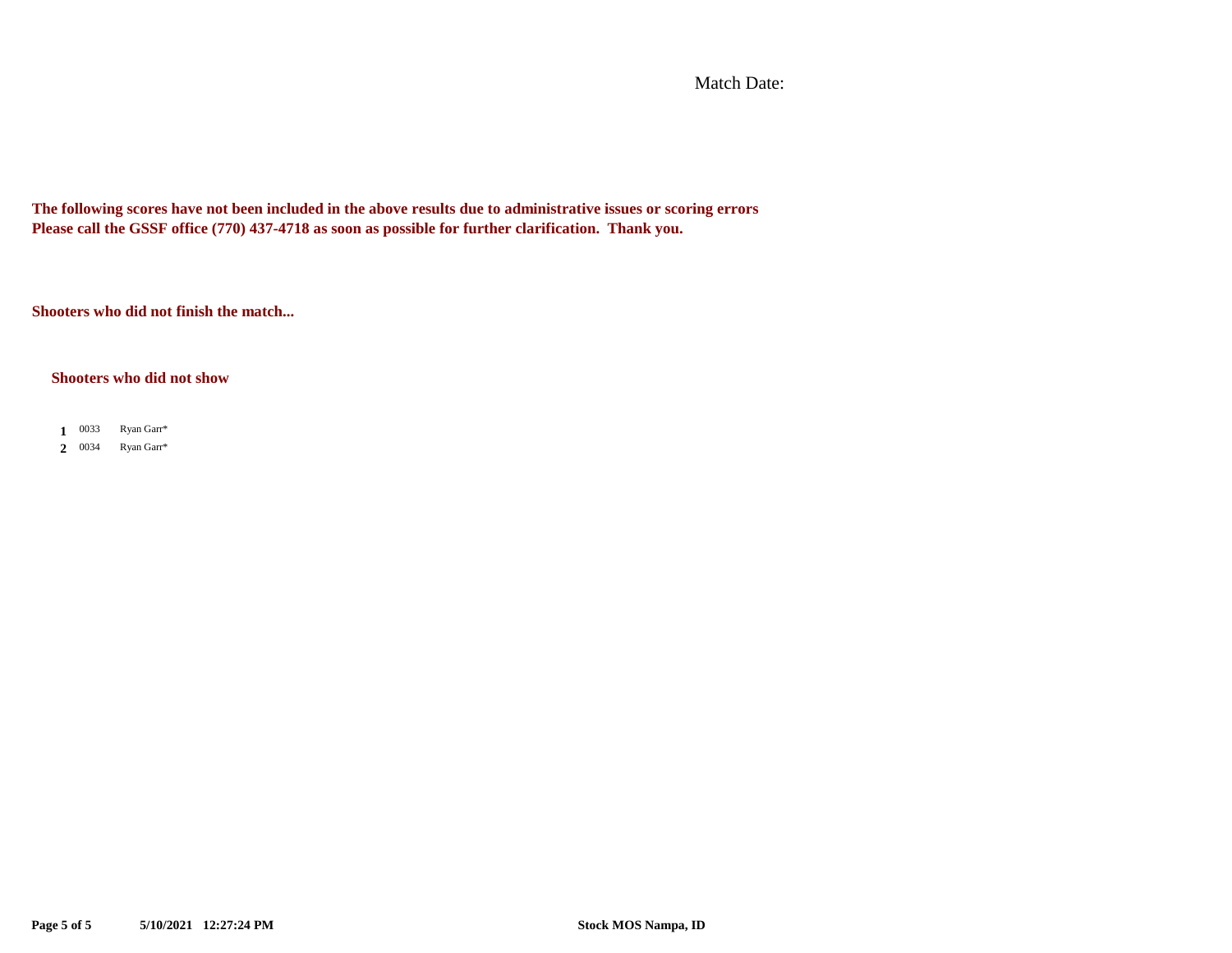Match Date:

**The following scores have not been included in the above results due to administrative issues or scoring errors Please call the GSSF office (770) 437-4718 as soon as possible for further clarification. Thank you.**

**Shooters who did not finish the match...**

#### **Shooters who did not show**

1 0033 Ryan Garr\*

**2** 0034 Ryan Garr\*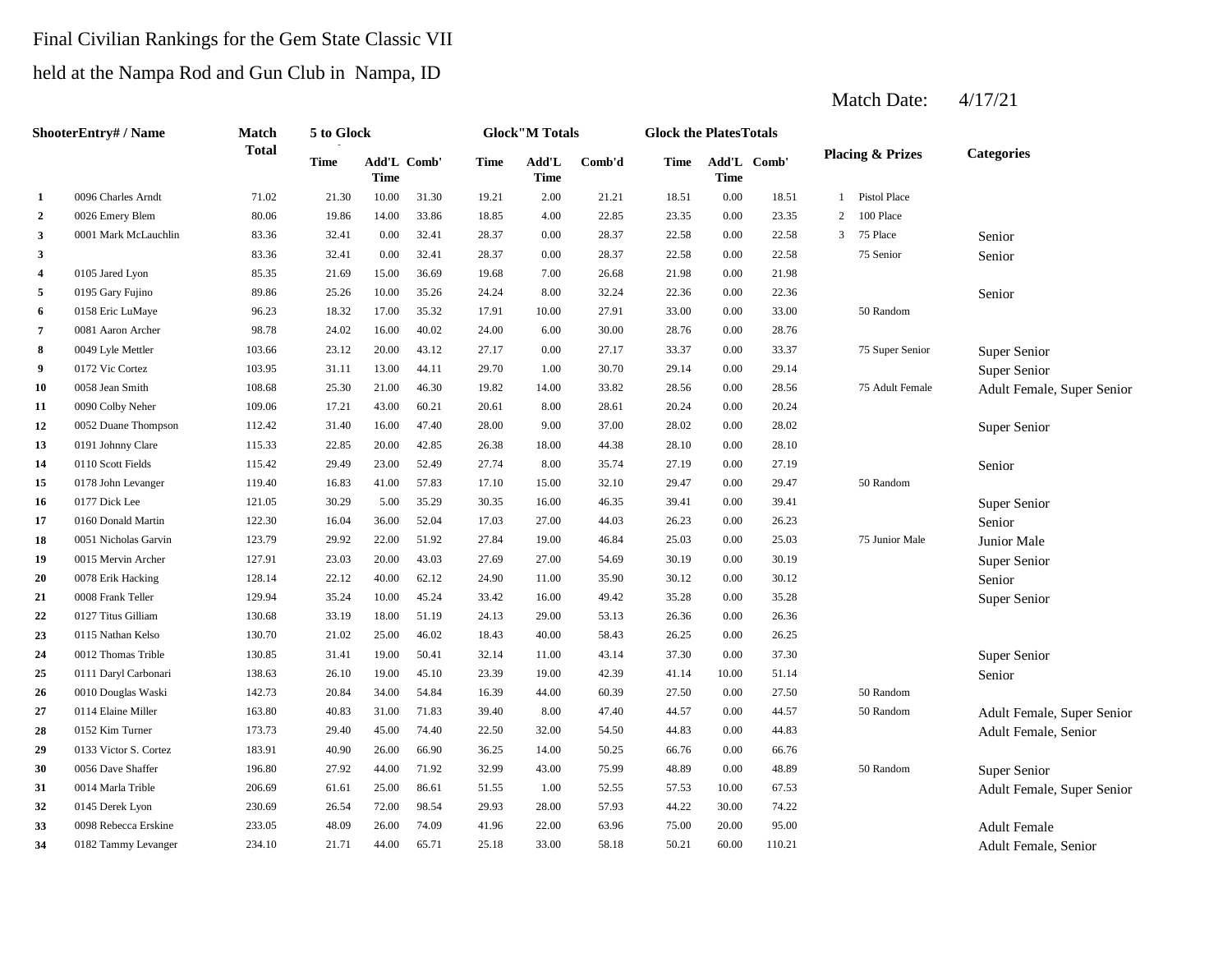# Final Civilian Rankings for the Gem State Classic VII

# held at the Nampa Rod and Gun Club in Nampa, ID

|                         | ShooterEntry# / Name  | Match        | 5 to Glock  |             |             |       | <b>Glock</b> "M Totals |        | <b>Glock the PlatesTotals</b> |                            |        |              |                             |                            |
|-------------------------|-----------------------|--------------|-------------|-------------|-------------|-------|------------------------|--------|-------------------------------|----------------------------|--------|--------------|-----------------------------|----------------------------|
|                         |                       | <b>Total</b> | <b>Time</b> | <b>Time</b> | Add'L Comb' | Time  | Add'L<br><b>Time</b>   | Comb'd | Time                          | Add'L Comb'<br><b>Time</b> |        |              | <b>Placing &amp; Prizes</b> | <b>Categories</b>          |
| 1                       | 0096 Charles Arndt    | 71.02        | 21.30       | 10.00       | 31.30       | 19.21 | 2.00                   | 21.21  | 18.51                         | 0.00                       | 18.51  | $\mathbf{1}$ | <b>Pistol Place</b>         |                            |
| $\overline{2}$          | 0026 Emery Blem       | 80.06        | 19.86       | 14.00       | 33.86       | 18.85 | 4.00                   | 22.85  | 23.35                         | 0.00                       | 23.35  | 2            | 100 Place                   |                            |
| 3                       | 0001 Mark McLauchlin  | 83.36        | 32.41       | 0.00        | 32.41       | 28.37 | 0.00                   | 28.37  | 22.58                         | 0.00                       | 22.58  | 3            | 75 Place                    | Senior                     |
| 3                       |                       | 83.36        | 32.41       | 0.00        | 32.41       | 28.37 | 0.00                   | 28.37  | 22.58                         | 0.00                       | 22.58  |              | 75 Senior                   | Senior                     |
| $\overline{\mathbf{4}}$ | 0105 Jared Lyon       | 85.35        | 21.69       | 15.00       | 36.69       | 19.68 | 7.00                   | 26.68  | 21.98                         | 0.00                       | 21.98  |              |                             |                            |
| 5                       | 0195 Gary Fujino      | 89.86        | 25.26       | 10.00       | 35.26       | 24.24 | 8.00                   | 32.24  | 22.36                         | 0.00                       | 22.36  |              |                             | Senior                     |
| 6                       | 0158 Eric LuMaye      | 96.23        | 18.32       | 17.00       | 35.32       | 17.91 | 10.00                  | 27.91  | 33.00                         | 0.00                       | 33.00  |              | 50 Random                   |                            |
| $\overline{7}$          | 0081 Aaron Archer     | 98.78        | 24.02       | 16.00       | 40.02       | 24.00 | 6.00                   | 30.00  | 28.76                         | 0.00                       | 28.76  |              |                             |                            |
| 8                       | 0049 Lyle Mettler     | 103.66       | 23.12       | 20.00       | 43.12       | 27.17 | 0.00                   | 27.17  | 33.37                         | 0.00                       | 33.37  |              | 75 Super Senior             | Super Senior               |
| -9                      | 0172 Vic Cortez       | 103.95       | 31.11       | 13.00       | 44.11       | 29.70 | 1.00                   | 30.70  | 29.14                         | 0.00                       | 29.14  |              |                             | Super Senior               |
| 10                      | 0058 Jean Smith       | 108.68       | 25.30       | 21.00       | 46.30       | 19.82 | 14.00                  | 33.82  | 28.56                         | 0.00                       | 28.56  |              | 75 Adult Female             | Adult Female, Super Senior |
| 11                      | 0090 Colby Neher      | 109.06       | 17.21       | 43.00       | 60.21       | 20.61 | 8.00                   | 28.61  | 20.24                         | 0.00                       | 20.24  |              |                             |                            |
| 12                      | 0052 Duane Thompson   | 112.42       | 31.40       | 16.00       | 47.40       | 28.00 | 9.00                   | 37.00  | 28.02                         | 0.00                       | 28.02  |              |                             | Super Senior               |
| 13                      | 0191 Johnny Clare     | 115.33       | 22.85       | 20.00       | 42.85       | 26.38 | 18.00                  | 44.38  | 28.10                         | 0.00                       | 28.10  |              |                             |                            |
| 14                      | 0110 Scott Fields     | 115.42       | 29.49       | 23.00       | 52.49       | 27.74 | 8.00                   | 35.74  | 27.19                         | 0.00                       | 27.19  |              |                             | Senior                     |
| 15                      | 0178 John Levanger    | 119.40       | 16.83       | 41.00       | 57.83       | 17.10 | 15.00                  | 32.10  | 29.47                         | 0.00                       | 29.47  |              | 50 Random                   |                            |
| 16                      | 0177 Dick Lee         | 121.05       | 30.29       | 5.00        | 35.29       | 30.35 | 16.00                  | 46.35  | 39.41                         | 0.00                       | 39.41  |              |                             | Super Senior               |
| 17                      | 0160 Donald Martin    | 122.30       | 16.04       | 36.00       | 52.04       | 17.03 | 27.00                  | 44.03  | 26.23                         | 0.00                       | 26.23  |              |                             | Senior                     |
| 18                      | 0051 Nicholas Garvin  | 123.79       | 29.92       | 22.00       | 51.92       | 27.84 | 19.00                  | 46.84  | 25.03                         | 0.00                       | 25.03  |              | 75 Junior Male              | Junior Male                |
| 19                      | 0015 Mervin Archer    | 127.91       | 23.03       | 20.00       | 43.03       | 27.69 | 27.00                  | 54.69  | 30.19                         | 0.00                       | 30.19  |              |                             | Super Senior               |
| 20                      | 0078 Erik Hacking     | 128.14       | 22.12       | 40.00       | 62.12       | 24.90 | 11.00                  | 35.90  | 30.12                         | 0.00                       | 30.12  |              |                             | Senior                     |
| 21                      | 0008 Frank Teller     | 129.94       | 35.24       | 10.00       | 45.24       | 33.42 | 16.00                  | 49.42  | 35.28                         | 0.00                       | 35.28  |              |                             | Super Senior               |
| 22                      | 0127 Titus Gilliam    | 130.68       | 33.19       | 18.00       | 51.19       | 24.13 | 29.00                  | 53.13  | 26.36                         | 0.00                       | 26.36  |              |                             |                            |
| 23                      | 0115 Nathan Kelso     | 130.70       | 21.02       | 25.00       | 46.02       | 18.43 | 40.00                  | 58.43  | 26.25                         | 0.00                       | 26.25  |              |                             |                            |
| 24                      | 0012 Thomas Trible    | 130.85       | 31.41       | 19.00       | 50.41       | 32.14 | 11.00                  | 43.14  | 37.30                         | 0.00                       | 37.30  |              |                             | Super Senior               |
| 25                      | 0111 Daryl Carbonari  | 138.63       | 26.10       | 19.00       | 45.10       | 23.39 | 19.00                  | 42.39  | 41.14                         | 10.00                      | 51.14  |              |                             | Senior                     |
| 26                      | 0010 Douglas Waski    | 142.73       | 20.84       | 34.00       | 54.84       | 16.39 | 44.00                  | 60.39  | 27.50                         | 0.00                       | 27.50  |              | 50 Random                   |                            |
| 27                      | 0114 Elaine Miller    | 163.80       | 40.83       | 31.00       | 71.83       | 39.40 | 8.00                   | 47.40  | 44.57                         | 0.00                       | 44.57  |              | 50 Random                   | Adult Female, Super Senior |
| 28                      | 0152 Kim Turner       | 173.73       | 29.40       | 45.00       | 74.40       | 22.50 | 32.00                  | 54.50  | 44.83                         | 0.00                       | 44.83  |              |                             | Adult Female, Senior       |
| 29                      | 0133 Victor S. Cortez | 183.91       | 40.90       | 26.00       | 66.90       | 36.25 | 14.00                  | 50.25  | 66.76                         | 0.00                       | 66.76  |              |                             |                            |
| 30                      | 0056 Dave Shaffer     | 196.80       | 27.92       | 44.00       | 71.92       | 32.99 | 43.00                  | 75.99  | 48.89                         | 0.00                       | 48.89  |              | 50 Random                   | Super Senior               |
| 31                      | 0014 Marla Trible     | 206.69       | 61.61       | 25.00       | 86.61       | 51.55 | 1.00                   | 52.55  | 57.53                         | 10.00                      | 67.53  |              |                             | Adult Female, Super Senior |
| 32                      | 0145 Derek Lyon       | 230.69       | 26.54       | 72.00       | 98.54       | 29.93 | 28.00                  | 57.93  | 44.22                         | 30.00                      | 74.22  |              |                             |                            |
| 33                      | 0098 Rebecca Erskine  | 233.05       | 48.09       | 26.00       | 74.09       | 41.96 | 22.00                  | 63.96  | 75.00                         | 20.00                      | 95.00  |              |                             | <b>Adult Female</b>        |
| 34                      | 0182 Tammy Levanger   | 234.10       | 21.71       | 44.00       | 65.71       | 25.18 | 33.00                  | 58.18  | 50.21                         | 60.00                      | 110.21 |              |                             | Adult Female, Senior       |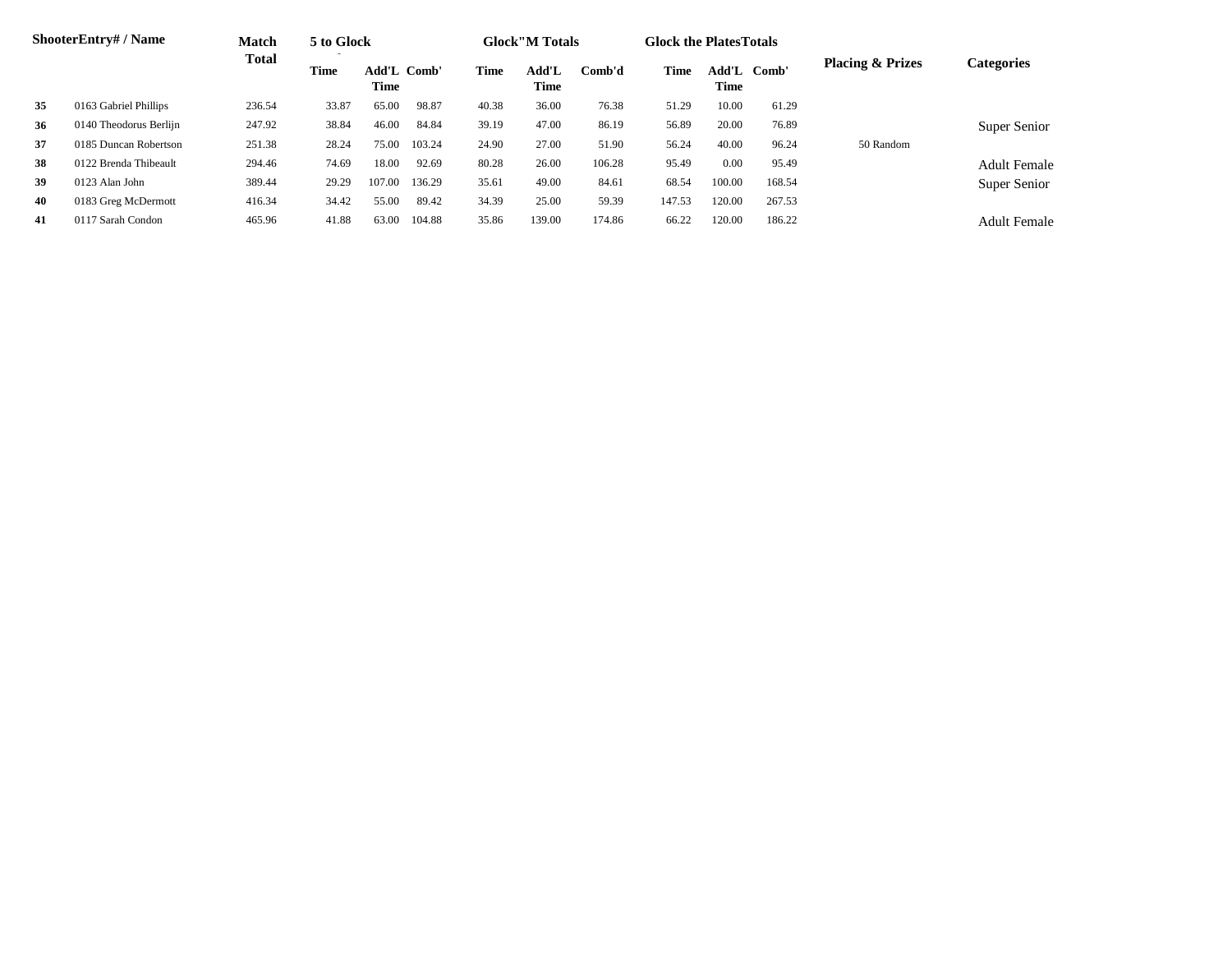|    | <b>ShooterEntry#/Name</b> | <b>Match</b> | 5 to Glock  |                                   |        |       | <b>Glock</b> "M Totals |        | <b>Glock the Plates Totals</b> |                     |        |                             |                     |  |
|----|---------------------------|--------------|-------------|-----------------------------------|--------|-------|------------------------|--------|--------------------------------|---------------------|--------|-----------------------------|---------------------|--|
|    |                           | <b>Total</b> | <b>Time</b> | <b>Add'L Comb'</b><br><b>Time</b> |        | Time  | Add'L<br>Time          | Comb'd | Time                           | Add'L Comb'<br>Time |        | <b>Placing &amp; Prizes</b> | <b>Categories</b>   |  |
| 35 | 0163 Gabriel Phillips     | 236.54       | 33.87       | 65.00                             | 98.87  | 40.38 | 36.00                  | 76.38  | 51.29                          | 10.00               | 61.29  |                             |                     |  |
| 36 | 0140 Theodorus Berlijn    | 247.92       | 38.84       | 46.00                             | 84.84  | 39.19 | 47.00                  | 86.19  | 56.89                          | 20.00               | 76.89  |                             | Super Senior        |  |
| 37 | 0185 Duncan Robertson     | 251.38       | 28.24       | 75.00                             | 103.24 | 24.90 | 27.00                  | 51.90  | 56.24                          | 40.00               | 96.24  | 50 Random                   |                     |  |
| 38 | 0122 Brenda Thibeault     | 294.46       | 74.69       | 18.00                             | 92.69  | 80.28 | 26.00                  | 106.28 | 95.49                          | 0.00                | 95.49  |                             | <b>Adult Female</b> |  |
| 39 | 0123 Alan John            | 389.44       | 29.29       | 107.00                            | 136.29 | 35.61 | 49.00                  | 84.61  | 68.54                          | 100.00              | 168.54 |                             | Super Senior        |  |
| 40 | 0183 Greg McDermott       | 416.34       | 34.42       | 55.00                             | 89.42  | 34.39 | 25.00                  | 59.39  | 147.53                         | 120.00              | 267.53 |                             |                     |  |
| 41 | 0117 Sarah Condon         | 465.96       | 41.88       | 63.00                             | 104.88 | 35.86 | 139.00                 | 174.86 | 66.22                          | 120.00              | 186.22 |                             | <b>Adult Female</b> |  |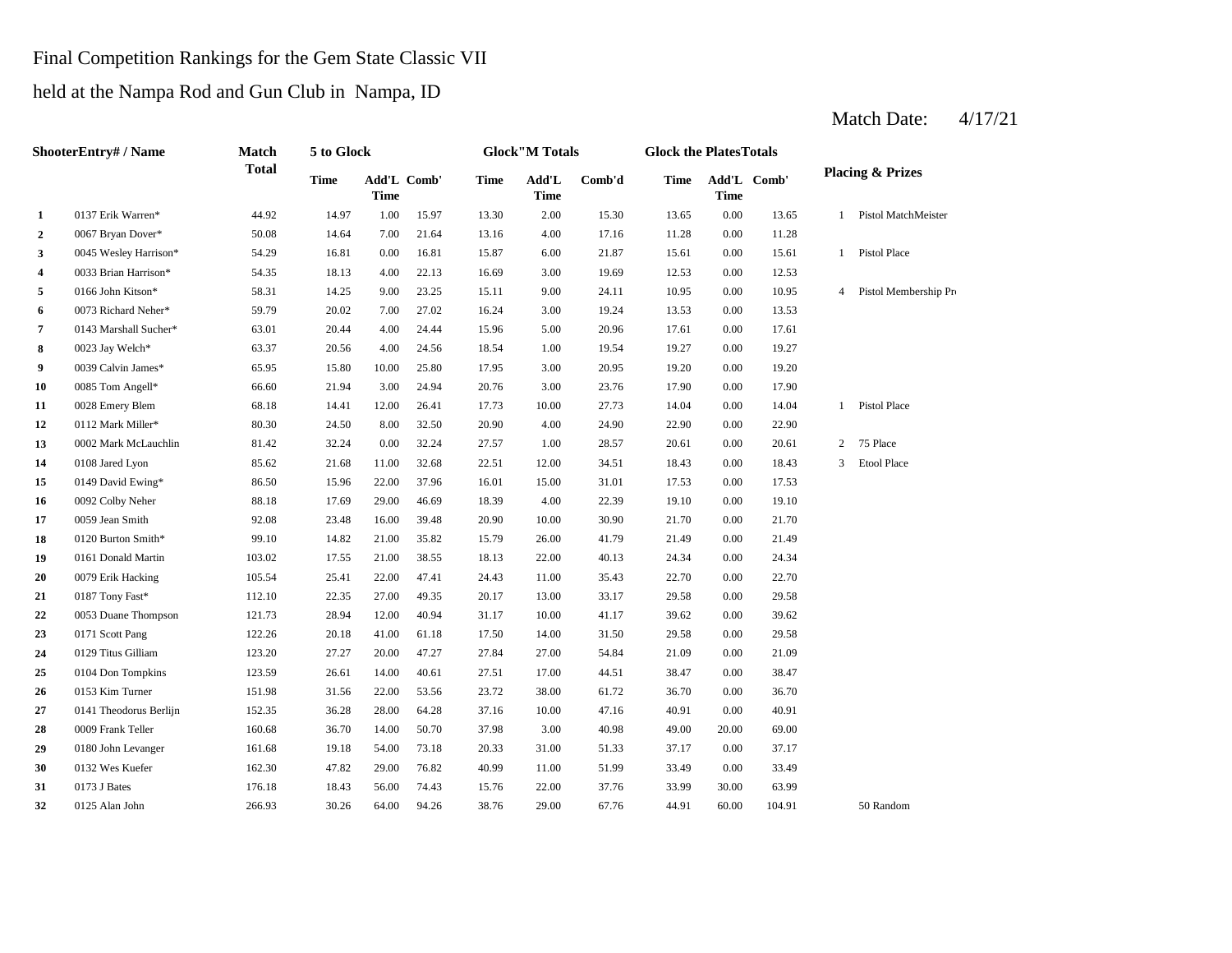# Final Competition Rankings for the Gem State Classic VII

held at the Nampa Rod and Gun Club in Nampa, ID

#### **2**  $0.067$  Bryan Dover\* 50.08 14.64 7.00 21.64 13.16 4.00 17.16 11.28 **3** 6.00 15 Wesley Harrison\* 54.29 16.81 0.00 16.81 15.87 6.00 21.87 15.61 0.00 **4**  $0.033$  Brian Harrison\* 54.35 18.13 4.00 22.13 16.69 3.00 19.69 12.53 **5** 0166 John Kitson\* 58.31 14.25 9.00 23.25 15.11 9.00 24.11 10.95 0.00 **6**  $\frac{0073 \text{ Richard N} \cdot \text{R} \cdot \text{R}}{3.53}$  **59.79** 20.02 7.00 27.02 16.24 3.00 19.24 13.53 **7** 0143 Marshall Sucher\* 63.01 20.44 4.00 24.44 15.96 5.00 20.96 17.61 0.00 **8** 1.00 19.54 1.00 19.54 1.00 19.54 1.00 19.54 1.02 **9** 0039 Calvin James\* 65.95 15.80 10.00 25.80 17.95 3.00 20.95 19.20 **10** 0085 Tom Angell\* 66.60 21.94 3.00 24.94 20.76 3.00 23.76 17.90 **11** 0028 Emery Blem 68.18 14.41 12.00 26.41 17.73 10.00 27.73 14.04 0.00 **12** 4.00 22.90 0112 Mark Miller\* 80.30 24.50 8.00 32.50 20.90 24.90 **13** 0002 Mark McLauchlin 81.42 32.24 0.00 32.24 27.57 1.00 28.57 20.61 0.00 **14** 0108 Jared Lyon 85.62 21.68 11.00 32.68 22.51 12.00 34.51 18.43 **15** 15.00 17.53 0149 David Ewing\* 86.50 15.96 22.00 37.96 16.01 **16 10** 0092 Colby Neher **88.18 17.69 29.00 46.69 18.39 4.00 22.39 19.10 17** 0059 Jean Smith **10.00 22.08** 23.48 16.00 39.48 20.90 10.00 30.90 21.70 0.00 18 0120 Burton Smith\* 99.10 14.82 21.00 35.82 15.79 26.00 41.79 21.49 **19** 22.00 24.34 0161 Donald Martin 103.02 17.55 21.00 38.55 18.13 **20** 0079 Erik Hacking 105.54 25.41 22.00 47.41 24.43 11.00 35.43 22.70 **21** 0187 Tony Fast\* **112.10** 22.35 27.00 49.35 20.17 13.00 33.17 29.58 **22** 0053 Duane Thompson 121.73 28.94 12.00 40.94 31.17 10.00 41.17 39.62 0.00 39.62 **23** 1171 Scott Pang 122.26 20.18 41.00 61.18 17.50 14.00 31.50 29.58 **24** 0129 Titus Gilliam 123.20 27.27 20.00 47.27 27.84 27.00 54.84 21.09 **25** 17.00 38.47 0104 Don Tompkins 123.59 26.61 14.00 40.61 27.51 44.51 0.00 **26** 0153 Kim Turner 151.98 31.56 22.00 53.56 23.72 38.00 61.72 36.70 0.00 36.70 **27** 0141 Theodorus Berlijn 152.35 36.28 28.00 64.28 37.16 10.00 47.16 40.91 **28 2009** Frank Teller 160.68 36.70 14.00 50.70 37.98 3.00 40.98 49.00 **29** 0180 John Levanger 161.68 19.18 54.00 73.18 20.33 31.00 51.33 37.17 0.00 **30** 0132 Wes Kuefer **162.30** 47.82 29.00 76.82 40.99 11.00 51.99 33.49 **31** 0173 J Bates **176.18** 18.43 56.00 74.43 15.76 22.00 37.76 33.99 **32** 29.00 44.91 60.00 104.91 50 Random 37.76 33.99 30.00 63.99 0125 Alan John 266.93 30.26 64.00 94.26 38.76 29.00 67.76 0173 J Bates 176.18 18.43 56.00 74.43 15.76 37.17 0132 Wes Kuefer 162.30 47.82 29.00 76.82 40.99 11.00 51.99 33.49 0.00 33.49 20.00 69.00 47.16 40.91 0.00 40.91 38.47 0.00 21.09 31.50 0.00 29.58 29.58 0.00 22.70 0187 Tony Fast\* 112.10 22.35 27.00 49.35 20.17 13.00 33.17 29.58 0.00 40.13 0.00 24.34 21.70 0120 Burton Smith\* 99.10 14.82 21.00 35.82 15.79 26.00 41.79 21.49 0.00 21.49 0.00 19.10 31.01 0.00 17.53 0.00 18.43 3 Etool Place 20.61 2 75 Place 0.00 22.90 14.04 1 Pistol Place 0.00 17.90 20.95 0.00 19.20 17.61 0023 Jay Welch\* 63.37 20.56 4.00 24.56 18.54 1.00 19.54 19.27 0.00 19.27 0.00 13.53 10.95 4 Pistol Membership Pro 0.00 12.53 15.61 1 Pistol Place 0.00 11.28 13.65 1 Pistol MatchMeister 15.97 13.30 2.00 15.30 13.65 0.00 **Add'L Time Comb'd Time Add'L Comb' Time 1** 0137 Erik Warren\* 44.92 14.97 1.00 **ShooterEntry# / Name Match Total 5 to Glock Time Glock"M Totals Glock the PlatesTotals Placing & Prizes Time Add'L Time** Add'L Comb' **Time**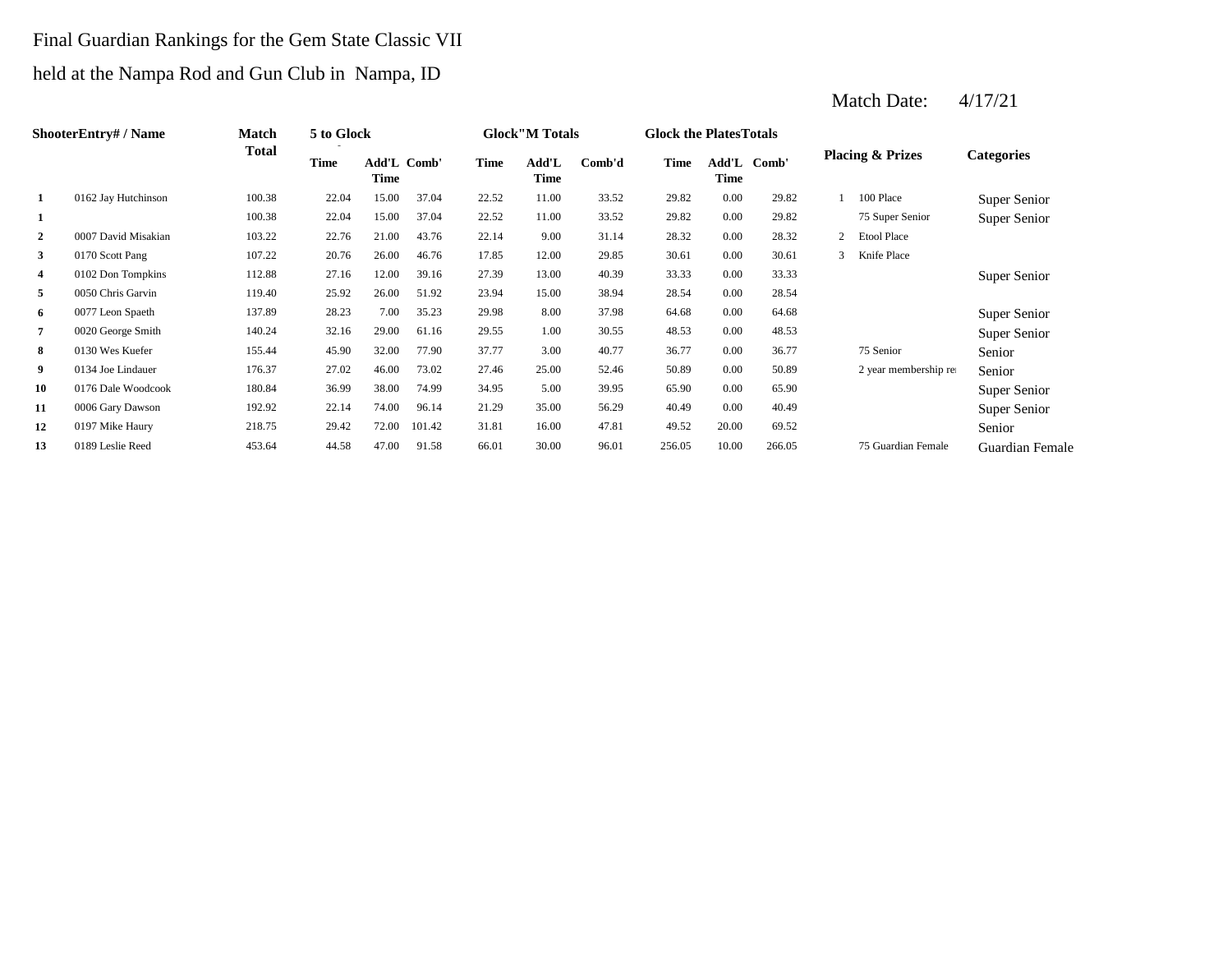### Final Guardian Rankings for the Gem State Classic VII

# held at the Nampa Rod and Gun Club in Nampa, ID

|                | <b>ShooterEntry#/Name</b> | Match  | 5 to Glock  |                     |        |             | <b>Glock</b> "M Totals |        | <b>Glock the Plates Totals</b> |       |             |                |                             |                   |
|----------------|---------------------------|--------|-------------|---------------------|--------|-------------|------------------------|--------|--------------------------------|-------|-------------|----------------|-----------------------------|-------------------|
|                |                           | Total  | <b>Time</b> | Add'L Comb'<br>Time |        | <b>Time</b> | Add'L<br>Time          | Comb'd | Time                           | Time  | Add'L Comb' |                | <b>Placing &amp; Prizes</b> | <b>Categories</b> |
| 1              | 0162 Jay Hutchinson       | 100.38 | 22.04       | 15.00               | 37.04  | 22.52       | 11.00                  | 33.52  | 29.82                          | 0.00  | 29.82       |                | 100 Place                   | Super Senior      |
| 1              |                           | 100.38 | 22.04       | 15.00               | 37.04  | 22.52       | 11.00                  | 33.52  | 29.82                          | 0.00  | 29.82       |                | 75 Super Senior             | Super Senior      |
| $\overline{2}$ | 0007 David Misakian       | 103.22 | 22.76       | 21.00               | 43.76  | 22.14       | 9.00                   | 31.14  | 28.32                          | 0.00  | 28.32       | $\overline{2}$ | <b>Etool Place</b>          |                   |
| 3              | 0170 Scott Pang           | 107.22 | 20.76       | 26.00               | 46.76  | 17.85       | 12.00                  | 29.85  | 30.61                          | 0.00  | 30.61       | 3              | Knife Place                 |                   |
| 4              | 0102 Don Tompkins         | 112.88 | 27.16       | 12.00               | 39.16  | 27.39       | 13.00                  | 40.39  | 33.33                          | 0.00  | 33.33       |                |                             | Super Senior      |
| 5              | 0050 Chris Garvin         | 119.40 | 25.92       | 26.00               | 51.92  | 23.94       | 15.00                  | 38.94  | 28.54                          | 0.00  | 28.54       |                |                             |                   |
| 6              | 0077 Leon Spaeth          | 137.89 | 28.23       | 7.00                | 35.23  | 29.98       | 8.00                   | 37.98  | 64.68                          | 0.00  | 64.68       |                |                             | Super Senior      |
| $\overline{7}$ | 0020 George Smith         | 140.24 | 32.16       | 29.00               | 61.16  | 29.55       | 1.00                   | 30.55  | 48.53                          | 0.00  | 48.53       |                |                             | Super Senior      |
| 8              | 0130 Wes Kuefer           | 155.44 | 45.90       | 32.00               | 77.90  | 37.77       | 3.00                   | 40.77  | 36.77                          | 0.00  | 36.77       |                | 75 Senior                   | Senior            |
| 9              | 0134 Joe Lindauer         | 176.37 | 27.02       | 46.00               | 73.02  | 27.46       | 25.00                  | 52.46  | 50.89                          | 0.00  | 50.89       |                | 2 year membership rea       | Senior            |
| 10             | 0176 Dale Woodcook        | 180.84 | 36.99       | 38.00               | 74.99  | 34.95       | 5.00                   | 39.95  | 65.90                          | 0.00  | 65.90       |                |                             | Super Senior      |
| 11             | 0006 Gary Dawson          | 192.92 | 22.14       | 74.00               | 96.14  | 21.29       | 35.00                  | 56.29  | 40.49                          | 0.00  | 40.49       |                |                             | Super Senior      |
| 12             | 0197 Mike Haury           | 218.75 | 29.42       | 72.00               | 101.42 | 31.81       | 16.00                  | 47.81  | 49.52                          | 20.00 | 69.52       |                |                             | Senior            |
| 13             | 0189 Leslie Reed          | 453.64 | 44.58       | 47.00               | 91.58  | 66.01       | 30.00                  | 96.01  | 256.05                         | 10.00 | 266.05      |                | 75 Guardian Female          | Guardian Female   |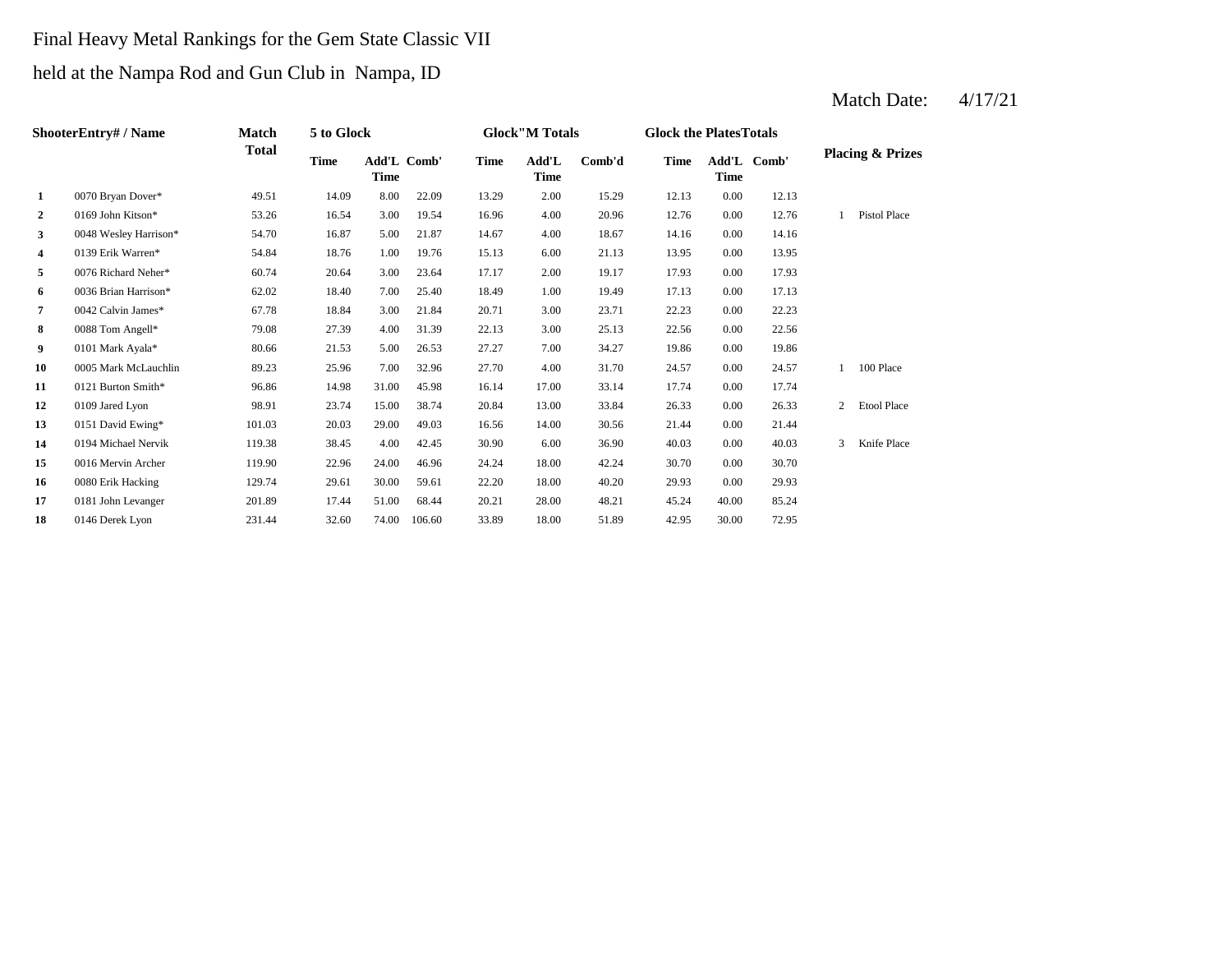# Final Heavy Metal Rankings for the Gem State Classic VII

## held at the Nampa Rod and Gun Club in Nampa, ID

| <b>ShooterEntry#/Name</b> |                       | Match        | 5 to Glock  |             |             |             | <b>Glock</b> "M Totals |        | <b>Glock the PlatesTotals</b> |             |             |   |                             |
|---------------------------|-----------------------|--------------|-------------|-------------|-------------|-------------|------------------------|--------|-------------------------------|-------------|-------------|---|-----------------------------|
|                           |                       | <b>Total</b> | <b>Time</b> | <b>Time</b> | Add'L Comb' | <b>Time</b> | Add'L<br><b>Time</b>   | Comb'd | <b>Time</b>                   | <b>Time</b> | Add'L Comb' |   | <b>Placing &amp; Prizes</b> |
| $\mathbf{1}$              | 0070 Bryan Dover*     | 49.51        | 14.09       | 8.00        | 22.09       | 13.29       | 2.00                   | 15.29  | 12.13                         | 0.00        | 12.13       |   |                             |
| $\overline{2}$            | 0169 John Kitson*     | 53.26        | 16.54       | 3.00        | 19.54       | 16.96       | 4.00                   | 20.96  | 12.76                         | 0.00        | 12.76       |   | Pistol Place                |
| 3                         | 0048 Wesley Harrison* | 54.70        | 16.87       | 5.00        | 21.87       | 14.67       | 4.00                   | 18.67  | 14.16                         | 0.00        | 14.16       |   |                             |
| 4                         | 0139 Erik Warren*     | 54.84        | 18.76       | 1.00        | 19.76       | 15.13       | 6.00                   | 21.13  | 13.95                         | 0.00        | 13.95       |   |                             |
| 5                         | 0076 Richard Neher*   | 60.74        | 20.64       | 3.00        | 23.64       | 17.17       | 2.00                   | 19.17  | 17.93                         | 0.00        | 17.93       |   |                             |
| 6                         | 0036 Brian Harrison*  | 62.02        | 18.40       | 7.00        | 25.40       | 18.49       | 1.00                   | 19.49  | 17.13                         | 0.00        | 17.13       |   |                             |
| $\overline{7}$            | 0042 Calvin James*    | 67.78        | 18.84       | 3.00        | 21.84       | 20.71       | 3.00                   | 23.71  | 22.23                         | 0.00        | 22.23       |   |                             |
| 8                         | 0088 Tom Angell*      | 79.08        | 27.39       | 4.00        | 31.39       | 22.13       | 3.00                   | 25.13  | 22.56                         | 0.00        | 22.56       |   |                             |
| 9                         | 0101 Mark Ayala*      | 80.66        | 21.53       | 5.00        | 26.53       | 27.27       | 7.00                   | 34.27  | 19.86                         | 0.00        | 19.86       |   |                             |
| 10                        | 0005 Mark McLauchlin  | 89.23        | 25.96       | 7.00        | 32.96       | 27.70       | 4.00                   | 31.70  | 24.57                         | 0.00        | 24.57       |   | 100 Place                   |
| 11                        | 0121 Burton Smith*    | 96.86        | 14.98       | 31.00       | 45.98       | 16.14       | 17.00                  | 33.14  | 17.74                         | 0.00        | 17.74       |   |                             |
| 12                        | 0109 Jared Lyon       | 98.91        | 23.74       | 15.00       | 38.74       | 20.84       | 13.00                  | 33.84  | 26.33                         | 0.00        | 26.33       | 2 | <b>Etool Place</b>          |
| 13                        | 0151 David Ewing*     | 101.03       | 20.03       | 29.00       | 49.03       | 16.56       | 14.00                  | 30.56  | 21.44                         | 0.00        | 21.44       |   |                             |
| 14                        | 0194 Michael Nervik   | 119.38       | 38.45       | 4.00        | 42.45       | 30.90       | 6.00                   | 36.90  | 40.03                         | 0.00        | 40.03       | 3 | Knife Place                 |
| 15                        | 0016 Mervin Archer    | 119.90       | 22.96       | 24.00       | 46.96       | 24.24       | 18.00                  | 42.24  | 30.70                         | 0.00        | 30.70       |   |                             |
| 16                        | 0080 Erik Hacking     | 129.74       | 29.61       | 30.00       | 59.61       | 22.20       | 18.00                  | 40.20  | 29.93                         | 0.00        | 29.93       |   |                             |
| 17                        | 0181 John Levanger    | 201.89       | 17.44       | 51.00       | 68.44       | 20.21       | 28.00                  | 48.21  | 45.24                         | 40.00       | 85.24       |   |                             |
| 18                        | 0146 Derek Lyon       | 231.44       | 32.60       | 74.00       | 106.60      | 33.89       | 18.00                  | 51.89  | 42.95                         | 30.00       | 72.95       |   |                             |
|                           |                       |              |             |             |             |             |                        |        |                               |             |             |   |                             |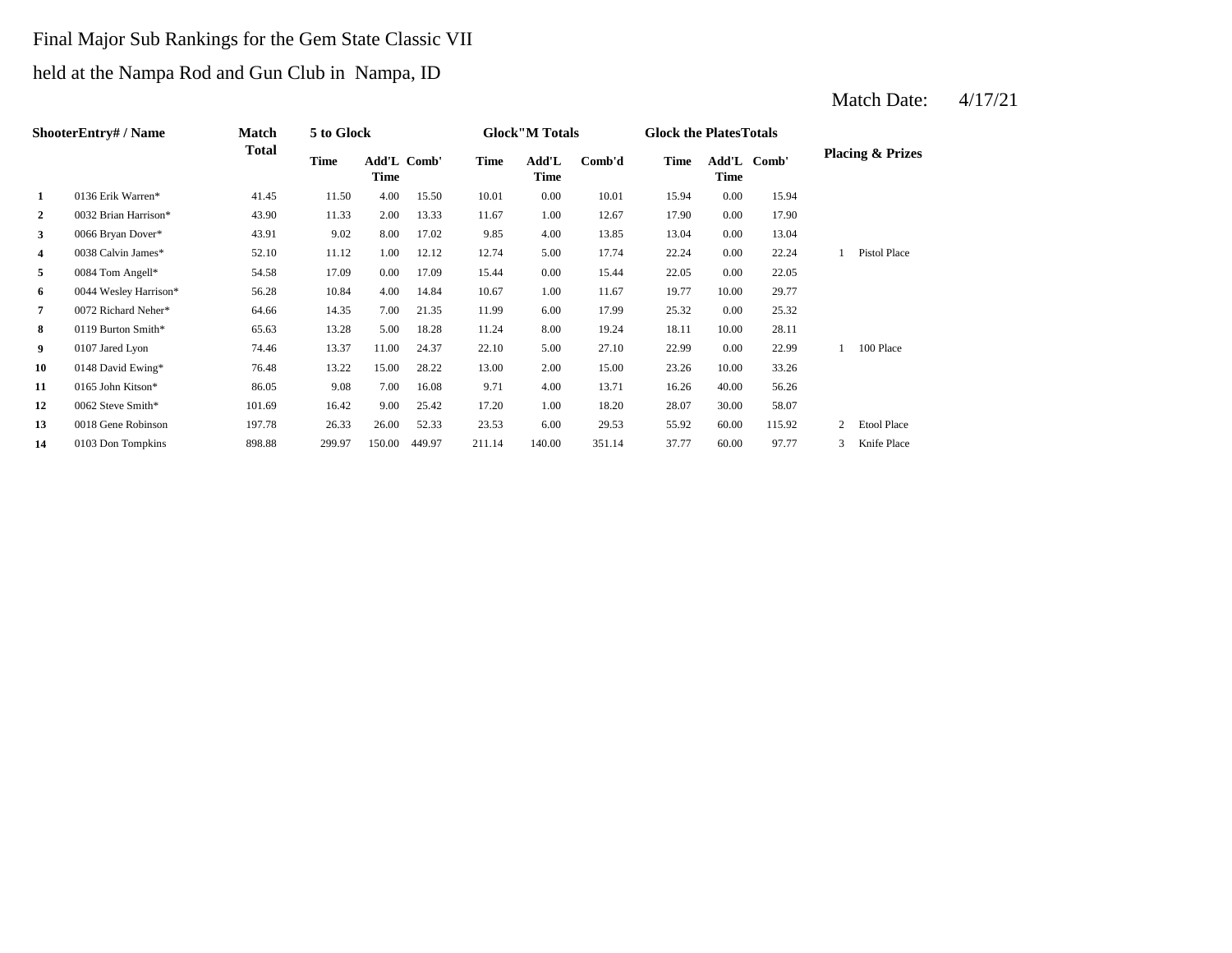# Final Major Sub Rankings for the Gem State Classic VII held at the Nampa Rod and Gun Club in Nampa, ID

|                | <b>ShooterEntry#/Name</b> | Match        | 5 to Glock |                     |        |        | <b>Glock</b> "M Totals |        | <b>Glock the Plates Totals</b> |       |             |   |                             |
|----------------|---------------------------|--------------|------------|---------------------|--------|--------|------------------------|--------|--------------------------------|-------|-------------|---|-----------------------------|
|                |                           | <b>Total</b> | Time       | Add'L Comb'<br>Time |        | Time   | Add'L<br><b>Time</b>   | Comb'd | <b>Time</b>                    | Time  | Add'L Comb' |   | <b>Placing &amp; Prizes</b> |
| 1              | 0136 Erik Warren*         | 41.45        | 11.50      | 4.00                | 15.50  | 10.01  | 0.00                   | 10.01  | 15.94                          | 0.00  | 15.94       |   |                             |
| $\overline{2}$ | 0032 Brian Harrison*      | 43.90        | 11.33      | 2.00                | 13.33  | 11.67  | 1.00                   | 12.67  | 17.90                          | 0.00  | 17.90       |   |                             |
| 3              | 0066 Bryan Dover*         | 43.91        | 9.02       | 8.00                | 17.02  | 9.85   | 4.00                   | 13.85  | 13.04                          | 0.00  | 13.04       |   |                             |
| 4              | 0038 Calvin James*        | 52.10        | 11.12      | 1.00                | 12.12  | 12.74  | 5.00                   | 17.74  | 22.24                          | 0.00  | 22.24       |   | Pistol Place                |
| 5              | 0084 Tom Angell*          | 54.58        | 17.09      | 0.00                | 17.09  | 15.44  | 0.00                   | 15.44  | 22.05                          | 0.00  | 22.05       |   |                             |
| 6              | 0044 Wesley Harrison*     | 56.28        | 10.84      | 4.00                | 14.84  | 10.67  | 1.00                   | 11.67  | 19.77                          | 10.00 | 29.77       |   |                             |
| 7              | 0072 Richard Neher*       | 64.66        | 14.35      | 7.00                | 21.35  | 11.99  | 6.00                   | 17.99  | 25.32                          | 0.00  | 25.32       |   |                             |
| 8              | 0119 Burton Smith*        | 65.63        | 13.28      | 5.00                | 18.28  | 11.24  | 8.00                   | 19.24  | 18.11                          | 10.00 | 28.11       |   |                             |
| 9              | 0107 Jared Lyon           | 74.46        | 13.37      | 11.00               | 24.37  | 22.10  | 5.00                   | 27.10  | 22.99                          | 0.00  | 22.99       |   | 100 Place                   |
| 10             | 0148 David Ewing*         | 76.48        | 13.22      | 15.00               | 28.22  | 13.00  | 2.00                   | 15.00  | 23.26                          | 10.00 | 33.26       |   |                             |
| 11             | 0165 John Kitson*         | 86.05        | 9.08       | 7.00                | 16.08  | 9.71   | 4.00                   | 13.71  | 16.26                          | 40.00 | 56.26       |   |                             |
| 12             | 0062 Steve Smith*         | 101.69       | 16.42      | 9.00                | 25.42  | 17.20  | 1.00                   | 18.20  | 28.07                          | 30.00 | 58.07       |   |                             |
| 13             | 0018 Gene Robinson        | 197.78       | 26.33      | 26.00               | 52.33  | 23.53  | 6.00                   | 29.53  | 55.92                          | 60.00 | 115.92      | 2 | <b>Etool Place</b>          |
| 14             | 0103 Don Tompkins         | 898.88       | 299.97     | 150.00              | 449.97 | 211.14 | 140.00                 | 351.14 | 37.77                          | 60.00 | 97.77       | 3 | Knife Place                 |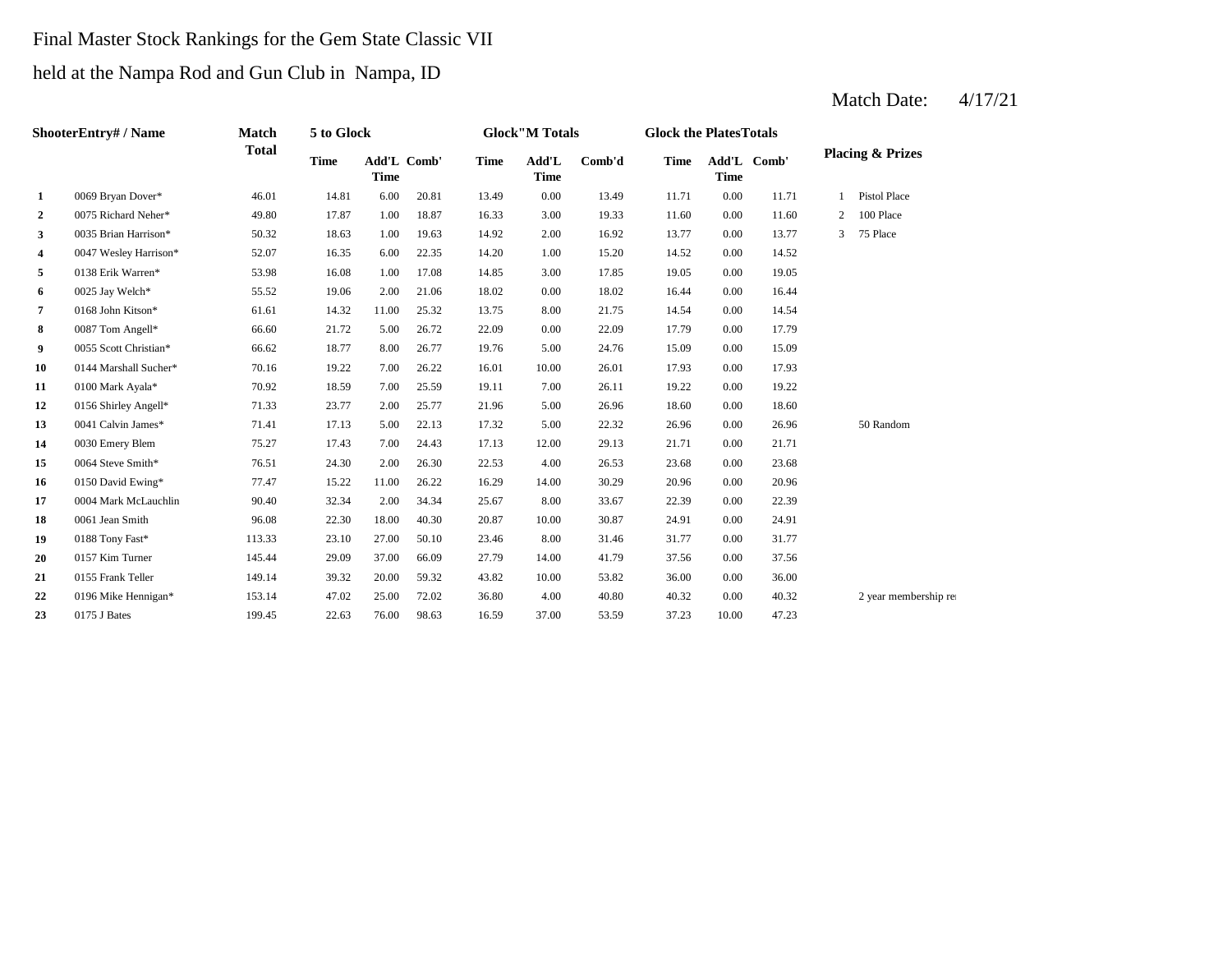# Final Master Stock Rankings for the Gem State Classic VII

### held at the Nampa Rod and Gun Club in Nampa, ID

|              | ShooterEntry# / Name  | Match        | 5 to Glock  |             |             |             | <b>Glock</b> "M Totals |        | <b>Glock the PlatesTotals</b> |             |             |                |                             |
|--------------|-----------------------|--------------|-------------|-------------|-------------|-------------|------------------------|--------|-------------------------------|-------------|-------------|----------------|-----------------------------|
|              |                       | <b>Total</b> | <b>Time</b> | <b>Time</b> | Add'L Comb' | <b>Time</b> | Add'L<br><b>Time</b>   | Comb'd | <b>Time</b>                   | <b>Time</b> | Add'L Comb' |                | <b>Placing &amp; Prizes</b> |
| 1            | 0069 Bryan Dover*     | 46.01        | 14.81       | 6.00        | 20.81       | 13.49       | 0.00                   | 13.49  | 11.71                         | 0.00        | 11.71       |                | <b>Pistol Place</b>         |
| $\mathbf{2}$ | 0075 Richard Neher*   | 49.80        | 17.87       | 1.00        | 18.87       | 16.33       | 3.00                   | 19.33  | 11.60                         | 0.00        | 11.60       | $\overline{2}$ | 100 Place                   |
| 3            | 0035 Brian Harrison*  | 50.32        | 18.63       | 1.00        | 19.63       | 14.92       | 2.00                   | 16.92  | 13.77                         | 0.00        | 13.77       | 3              | 75 Place                    |
| 4            | 0047 Wesley Harrison* | 52.07        | 16.35       | 6.00        | 22.35       | 14.20       | 1.00                   | 15.20  | 14.52                         | 0.00        | 14.52       |                |                             |
| 5            | 0138 Erik Warren*     | 53.98        | 16.08       | 1.00        | 17.08       | 14.85       | 3.00                   | 17.85  | 19.05                         | 0.00        | 19.05       |                |                             |
| 6            | 0025 Jay Welch*       | 55.52        | 19.06       | 2.00        | 21.06       | 18.02       | 0.00                   | 18.02  | 16.44                         | 0.00        | 16.44       |                |                             |
| 7            | 0168 John Kitson*     | 61.61        | 14.32       | 11.00       | 25.32       | 13.75       | 8.00                   | 21.75  | 14.54                         | 0.00        | 14.54       |                |                             |
| 8            | 0087 Tom Angell*      | 66.60        | 21.72       | 5.00        | 26.72       | 22.09       | 0.00                   | 22.09  | 17.79                         | 0.00        | 17.79       |                |                             |
| 9            | 0055 Scott Christian* | 66.62        | 18.77       | 8.00        | 26.77       | 19.76       | 5.00                   | 24.76  | 15.09                         | 0.00        | 15.09       |                |                             |
| 10           | 0144 Marshall Sucher* | 70.16        | 19.22       | 7.00        | 26.22       | 16.01       | 10.00                  | 26.01  | 17.93                         | 0.00        | 17.93       |                |                             |
| 11           | 0100 Mark Ayala*      | 70.92        | 18.59       | 7.00        | 25.59       | 19.11       | 7.00                   | 26.11  | 19.22                         | 0.00        | 19.22       |                |                             |
| 12           | 0156 Shirley Angell*  | 71.33        | 23.77       | 2.00        | 25.77       | 21.96       | 5.00                   | 26.96  | 18.60                         | 0.00        | 18.60       |                |                             |
| 13           | 0041 Calvin James*    | 71.41        | 17.13       | 5.00        | 22.13       | 17.32       | 5.00                   | 22.32  | 26.96                         | 0.00        | 26.96       |                | 50 Random                   |
| 14           | 0030 Emery Blem       | 75.27        | 17.43       | 7.00        | 24.43       | 17.13       | 12.00                  | 29.13  | 21.71                         | 0.00        | 21.71       |                |                             |
| 15           | 0064 Steve Smith*     | 76.51        | 24.30       | 2.00        | 26.30       | 22.53       | 4.00                   | 26.53  | 23.68                         | 0.00        | 23.68       |                |                             |
| 16           | 0150 David Ewing*     | 77.47        | 15.22       | 11.00       | 26.22       | 16.29       | 14.00                  | 30.29  | 20.96                         | 0.00        | 20.96       |                |                             |
| 17           | 0004 Mark McLauchlin  | 90.40        | 32.34       | 2.00        | 34.34       | 25.67       | 8.00                   | 33.67  | 22.39                         | 0.00        | 22.39       |                |                             |
| 18           | 0061 Jean Smith       | 96.08        | 22.30       | 18.00       | 40.30       | 20.87       | 10.00                  | 30.87  | 24.91                         | 0.00        | 24.91       |                |                             |
| 19           | 0188 Tony Fast*       | 113.33       | 23.10       | 27.00       | 50.10       | 23.46       | 8.00                   | 31.46  | 31.77                         | 0.00        | 31.77       |                |                             |
| 20           | 0157 Kim Turner       | 145.44       | 29.09       | 37.00       | 66.09       | 27.79       | 14.00                  | 41.79  | 37.56                         | 0.00        | 37.56       |                |                             |
| 21           | 0155 Frank Teller     | 149.14       | 39.32       | 20.00       | 59.32       | 43.82       | 10.00                  | 53.82  | 36.00                         | 0.00        | 36.00       |                |                             |
| 22           | 0196 Mike Hennigan*   | 153.14       | 47.02       | 25.00       | 72.02       | 36.80       | 4.00                   | 40.80  | 40.32                         | 0.00        | 40.32       |                | 2 year membership rea       |
| 23           | 0175 J Bates          | 199.45       | 22.63       | 76.00       | 98.63       | 16.59       | 37.00                  | 53.59  | 37.23                         | 10.00       | 47.23       |                |                             |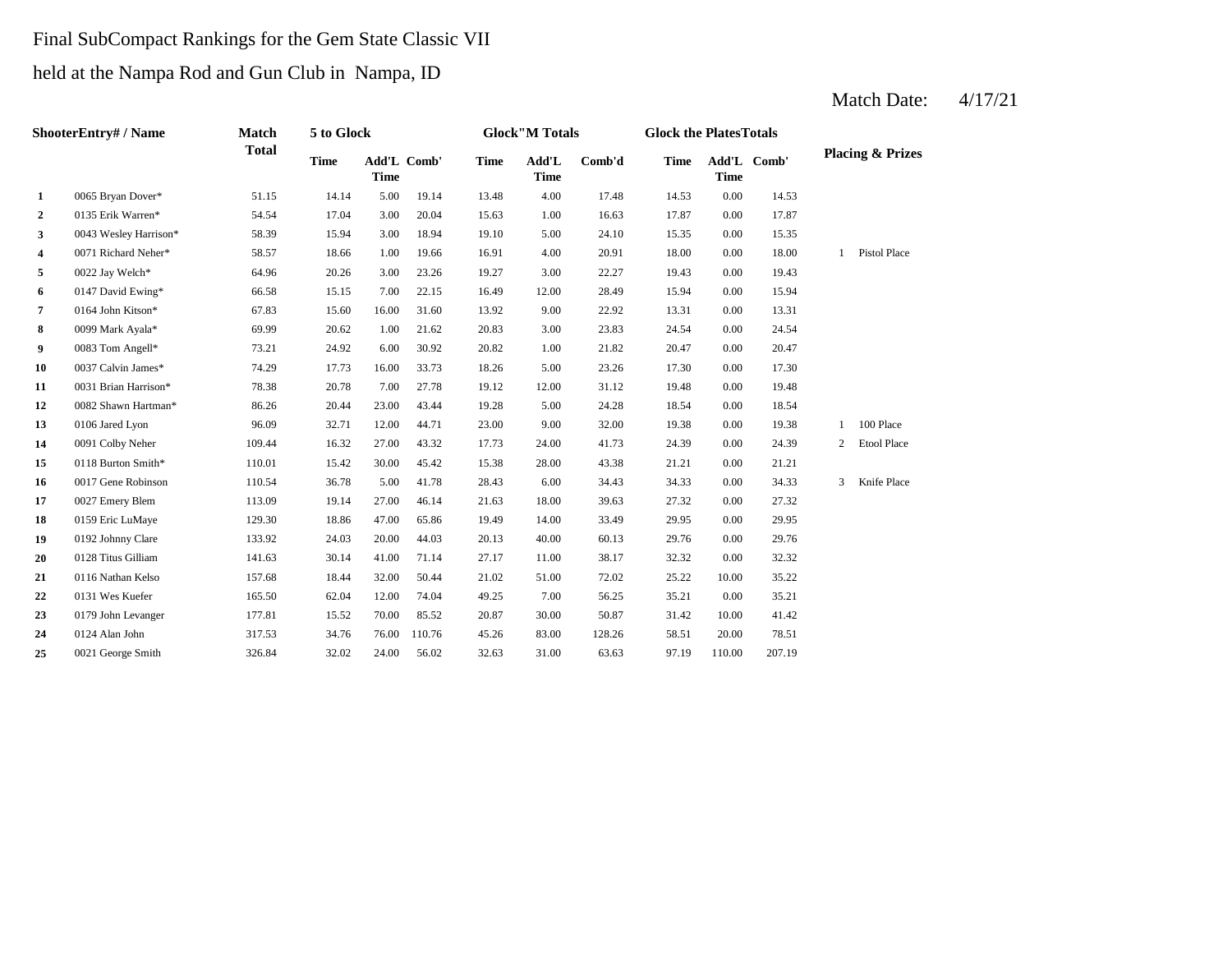# Final SubCompact Rankings for the Gem State Classic VII

# held at the Nampa Rod and Gun Club in Nampa, ID

|              | ShooterEntry# / Name  | <b>Match</b> | 5 to Glock  |             |             |             | <b>Glock</b> "M Totals |        | <b>Glock the PlatesTotals</b> |             |             |                |                             |
|--------------|-----------------------|--------------|-------------|-------------|-------------|-------------|------------------------|--------|-------------------------------|-------------|-------------|----------------|-----------------------------|
|              |                       | <b>Total</b> | <b>Time</b> | <b>Time</b> | Add'L Comb' | <b>Time</b> | Add'L<br><b>Time</b>   | Comb'd | <b>Time</b>                   | <b>Time</b> | Add'L Comb' |                | <b>Placing &amp; Prizes</b> |
| 1            | 0065 Bryan Dover*     | 51.15        | 14.14       | 5.00        | 19.14       | 13.48       | 4.00                   | 17.48  | 14.53                         | 0.00        | 14.53       |                |                             |
| $\mathbf{2}$ | 0135 Erik Warren*     | 54.54        | 17.04       | 3.00        | 20.04       | 15.63       | 1.00                   | 16.63  | 17.87                         | 0.00        | 17.87       |                |                             |
| 3            | 0043 Wesley Harrison* | 58.39        | 15.94       | 3.00        | 18.94       | 19.10       | 5.00                   | 24.10  | 15.35                         | 0.00        | 15.35       |                |                             |
| 4            | 0071 Richard Neher*   | 58.57        | 18.66       | 1.00        | 19.66       | 16.91       | 4.00                   | 20.91  | 18.00                         | 0.00        | 18.00       |                | 1 Pistol Place              |
| 5            | 0022 Jay Welch*       | 64.96        | 20.26       | 3.00        | 23.26       | 19.27       | 3.00                   | 22.27  | 19.43                         | 0.00        | 19.43       |                |                             |
| 6            | 0147 David Ewing*     | 66.58        | 15.15       | 7.00        | 22.15       | 16.49       | 12.00                  | 28.49  | 15.94                         | 0.00        | 15.94       |                |                             |
| 7            | 0164 John Kitson*     | 67.83        | 15.60       | 16.00       | 31.60       | 13.92       | 9.00                   | 22.92  | 13.31                         | 0.00        | 13.31       |                |                             |
| 8            | 0099 Mark Ayala*      | 69.99        | 20.62       | 1.00        | 21.62       | 20.83       | 3.00                   | 23.83  | 24.54                         | 0.00        | 24.54       |                |                             |
| 9            | 0083 Tom Angell*      | 73.21        | 24.92       | 6.00        | 30.92       | 20.82       | 1.00                   | 21.82  | 20.47                         | 0.00        | 20.47       |                |                             |
| 10           | 0037 Calvin James*    | 74.29        | 17.73       | 16.00       | 33.73       | 18.26       | 5.00                   | 23.26  | 17.30                         | 0.00        | 17.30       |                |                             |
| 11           | 0031 Brian Harrison*  | 78.38        | 20.78       | 7.00        | 27.78       | 19.12       | 12.00                  | 31.12  | 19.48                         | 0.00        | 19.48       |                |                             |
| 12           | 0082 Shawn Hartman*   | 86.26        | 20.44       | 23.00       | 43.44       | 19.28       | 5.00                   | 24.28  | 18.54                         | 0.00        | 18.54       |                |                             |
| 13           | 0106 Jared Lyon       | 96.09        | 32.71       | 12.00       | 44.71       | 23.00       | 9.00                   | 32.00  | 19.38                         | 0.00        | 19.38       | 1              | 100 Place                   |
| 14           | 0091 Colby Neher      | 109.44       | 16.32       | 27.00       | 43.32       | 17.73       | 24.00                  | 41.73  | 24.39                         | 0.00        | 24.39       | $\overline{2}$ | <b>Etool Place</b>          |
| 15           | 0118 Burton Smith*    | 110.01       | 15.42       | 30.00       | 45.42       | 15.38       | 28.00                  | 43.38  | 21.21                         | 0.00        | 21.21       |                |                             |
| 16           | 0017 Gene Robinson    | 110.54       | 36.78       | 5.00        | 41.78       | 28.43       | 6.00                   | 34.43  | 34.33                         | 0.00        | 34.33       | 3              | Knife Place                 |
| 17           | 0027 Emery Blem       | 113.09       | 19.14       | 27.00       | 46.14       | 21.63       | 18.00                  | 39.63  | 27.32                         | 0.00        | 27.32       |                |                             |
| 18           | 0159 Eric LuMaye      | 129.30       | 18.86       | 47.00       | 65.86       | 19.49       | 14.00                  | 33.49  | 29.95                         | 0.00        | 29.95       |                |                             |
| 19           | 0192 Johnny Clare     | 133.92       | 24.03       | 20.00       | 44.03       | 20.13       | 40.00                  | 60.13  | 29.76                         | 0.00        | 29.76       |                |                             |
| 20           | 0128 Titus Gilliam    | 141.63       | 30.14       | 41.00       | 71.14       | 27.17       | 11.00                  | 38.17  | 32.32                         | 0.00        | 32.32       |                |                             |
| 21           | 0116 Nathan Kelso     | 157.68       | 18.44       | 32.00       | 50.44       | 21.02       | 51.00                  | 72.02  | 25.22                         | 10.00       | 35.22       |                |                             |
| 22           | 0131 Wes Kuefer       | 165.50       | 62.04       | 12.00       | 74.04       | 49.25       | 7.00                   | 56.25  | 35.21                         | 0.00        | 35.21       |                |                             |
| 23           | 0179 John Levanger    | 177.81       | 15.52       | 70.00       | 85.52       | 20.87       | 30.00                  | 50.87  | 31.42                         | 10.00       | 41.42       |                |                             |
| 24           | 0124 Alan John        | 317.53       | 34.76       | 76.00       | 110.76      | 45.26       | 83.00                  | 128.26 | 58.51                         | 20.00       | 78.51       |                |                             |
| 25           | 0021 George Smith     | 326.84       | 32.02       | 24.00       | 56.02       | 32.63       | 31.00                  | 63.63  | 97.19                         | 110.00      | 207.19      |                |                             |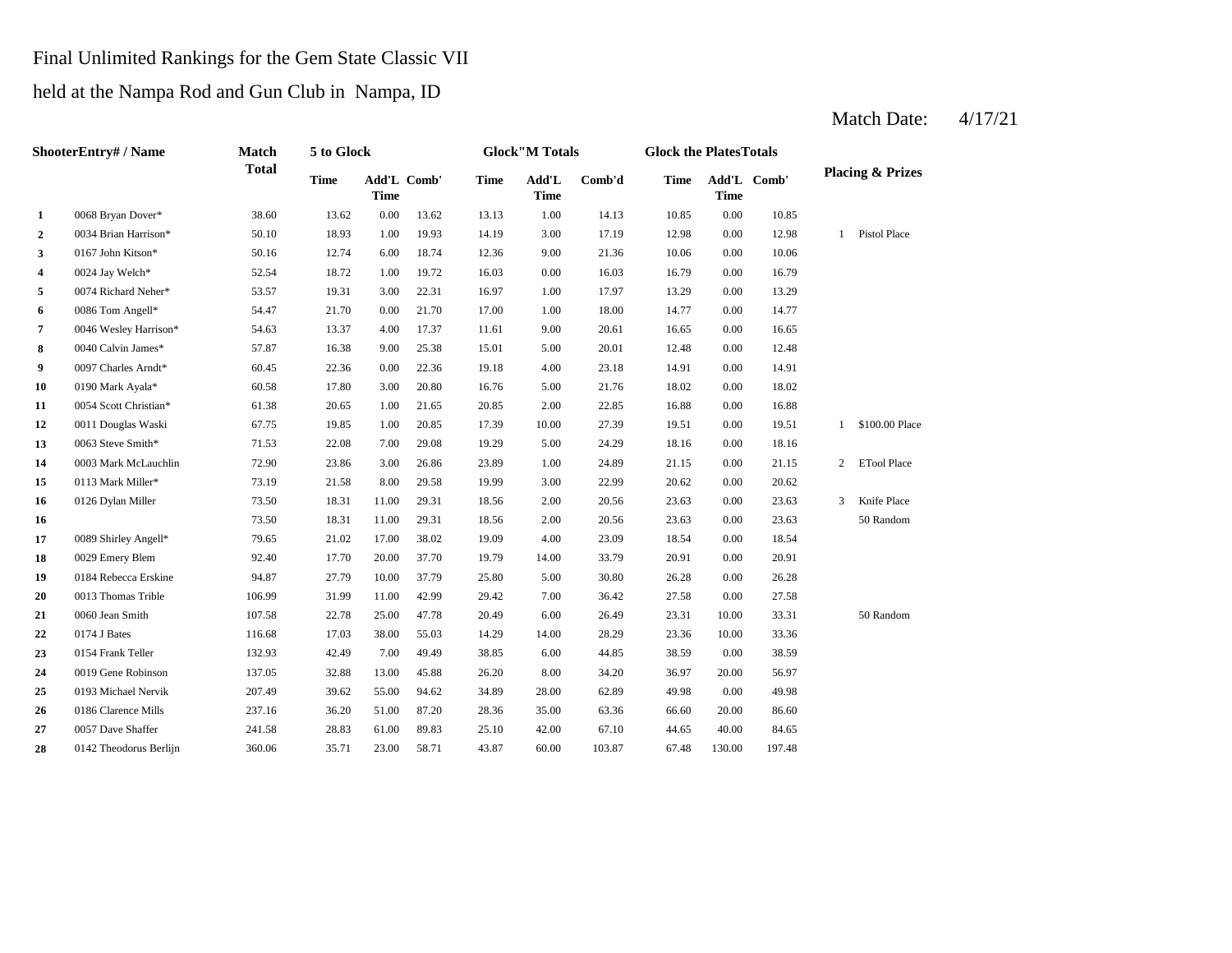# Final Unlimited Rankings for the Gem State Classic VII

held at the Nampa Rod and Gun Club in Nampa, ID

#### **2** 0034 Brian Harrison\* 50.10 18.93 1.00 19.93 14.19 3.00 17.19 12.98 0.00 12.98 **3**  $0.167$  John Kitson\* 50.16 12.74 6.00 18.74 12.36 9.00 21.36 10.06 0.00 **4** 0.00 16.79 0024 Jay Welch\* 52.54 18.72 1.00 19.72 16.03 16.03 0.00 16.79 **5** 1.00 17.97 13.29 **1.00 17.97** 13.29 **6** 0086 Tom Angell\* 54.47 21.70 0.00 21.70 17.00 1.00 18.00 14.77 **7** 0046 Wesley Harrison\* 54.63 13.37 4.00 17.37 11.61 9.00 20.61 16.65 0.00 **8** 0040 Calvin James\* 57.87 16.38 9.00 25.38 15.01 5.00 20.01 12.48 0.00 12.48 **9** 0097 Charles Arndt\* 60.45 22.36 0.00 22.36 19.18 4.00 23.18 14.91 **10** 0190 Mark Ayala\* 60.58 17.80 3.00 20.80 16.76 5.00 21.76 18.02 **11** 2.00 16.88 0054 Scott Christian\* 61.38 20.65 1.00 21.65 20.85 22.85 0.00 **12** 0011 Douglas Waski 67.75 19.85 1.00 20.85 17.39 10.00 27.39 19.51 0.00 19.51 **13** 0063 Steve Smith\* **11.53** 22.08 7.00 29.08 19.29 5.00 24.29 18.16 0.00 **14** 1.00 21.15 0003 Mark McLauchlin 72.90 23.86 3.00 26.86 23.89 24.89 0.00 21.15 **15** 0113 Mark Miller\* **73.19** 21.58 8.00 29.58 19.99 3.00 22.99 20.62 0.00 **16** 0126 Dylan Miller **18.30** 18.31 11.00 29.31 18.56 2.00 20.56 23.63 0.00 23.63 **16** 2.00 23.63 **17** 0089 Shirley Angell\* 79.65 21.02 17.00 38.02 19.09 4.00 23.09 18.54 0.00 18.54 **18** 0029 Emery Blem **92.40** 17.70 20.00 37.70 19.79 14.00 33.79 20.91 **19** 0184 Rebecca Erskine 94.87 27.79 10.00 37.79 25.80 5.00 30.80 26.28 **20** 0013 Thomas Trible 106.99 31.99 11.00 42.99 29.42 7.00 36.42 27.58 0.00 **21** 0060 Jean Smith 107.58 22.78 25.00 47.78 20.49 6.00 26.49 23.31 **22** 0174 J Bates **22** 116.68 17.03 38.00 55.03 14.29 14.00 28.29 23.36 **23 0154 Frank Teller 132.93 42.49 7.00 49.49 38.85 6.00 44.85 38.59 24** 0019 Gene Robinson 137.05 32.88 13.00 45.88 26.20 8.00 34.20 36.97 **25** 28.00 49.98 0193 Michael Nervik 207.49 39.62 55.00 94.62 34.89 62.89 0.00 **26** 0186 Clarence Mills 237.16 36.20 51.00 87.20 28.36 35.00 63.36 66.60 20.00 86.60 **27** 0057 Dave Shaffer 241.58 28.83 61.00 89.83 25.10 42.00 67.10 44.65 **28** 0142 Theodorus Berlijn 360.06 35.71 23.00 58.71 43.87 60.00 103.87 67.48 130.00 197.48 67.10 44.65 40.00 84.65 49.98 20.00 56.97 44.85 0.00 38.59 0154 Frank Teller 132.93 42.49 7.00 49.49 38.85 50 Random 0174 J Bates 6 116.68 11.03 38.00 55.03 14.29 14.00 28.29 23.36 10.00 33.36 27.58 0060 Jean Smith 107.58 22.78 25.00 47.78 20.49 6.00 26.49 23.31 10.00 33.31 0.00 26.28 33.79 0.00 20.91 50 Random 3 Knife Place 73.50 18.31 11.00 29.31 18.56 2.00 20.56 23.63 0.00 23.63 20.62 2 ETool Place 18.16 1 \$100.00 Place 16.88 0.00 18.02 23.18 0.00 14.91 16.65 0.00 14.77 17.97 13.29 0.00 13.29 10.06 1 Pistol Place 10.85 13.62 13.13 1.00 14.13 10.85 0.00 **Add'L Time Comb'd Time Add'L Comb' Time 1** 0068 Bryan Dover\* 38.60 13.62 0.00 **ShooterEntry# / Name Match Total 5 to Glock Time Glock"M Totals Glock the PlatesTotals Placing & Prizes Time Add'L Time** Add'L Comb' **Time**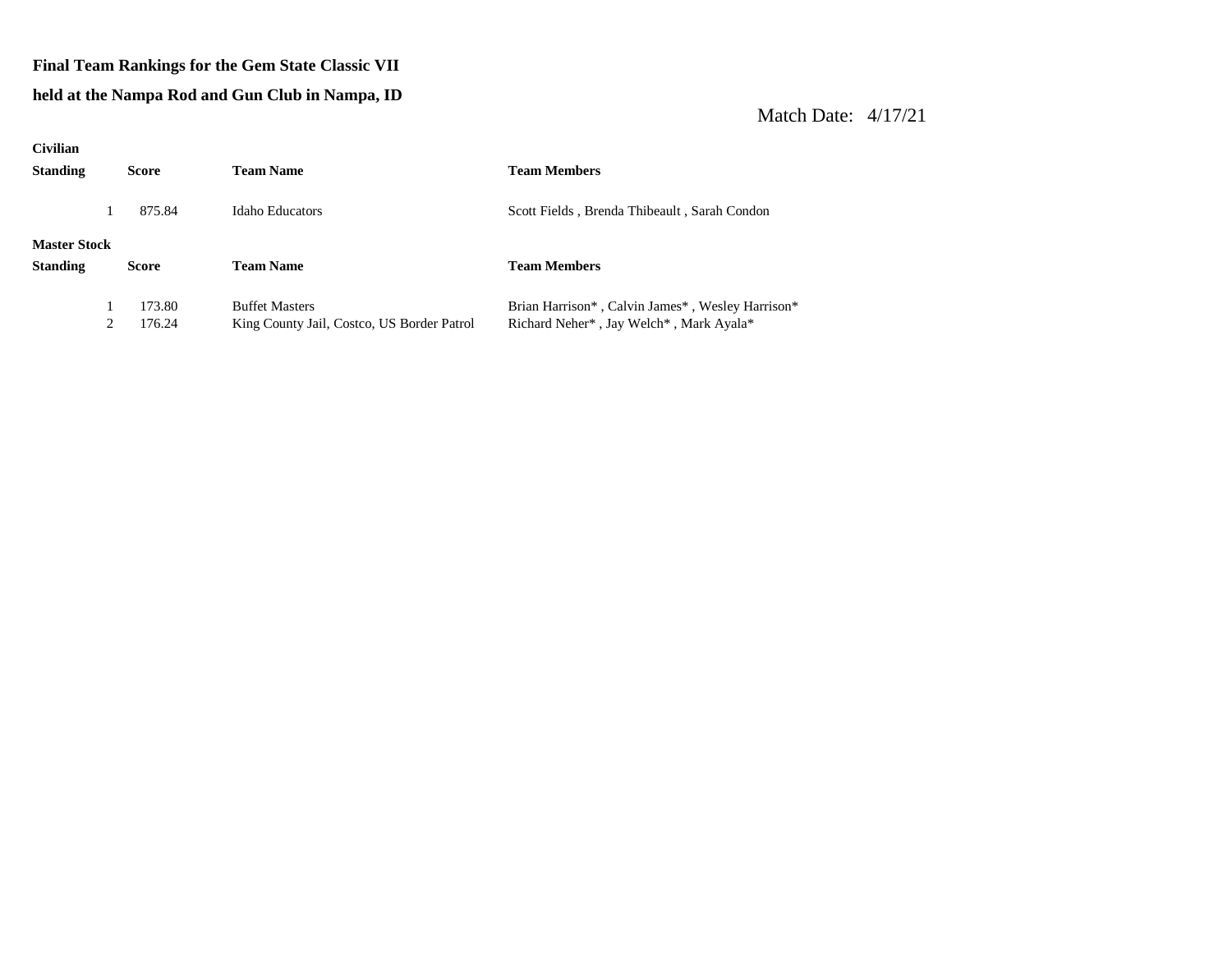#### **Final Team Rankings for the Gem State Classic VII**

#### **held at the Nampa Rod and Gun Club in Nampa, ID**

| <b>Civilian</b>     |              |                                            |                                                  |
|---------------------|--------------|--------------------------------------------|--------------------------------------------------|
| <b>Standing</b>     | <b>Score</b> | <b>Team Name</b>                           | <b>Team Members</b>                              |
|                     | 875.84       | <b>Idaho Educators</b>                     | Scott Fields, Brenda Thibeault, Sarah Condon     |
| <b>Master Stock</b> |              |                                            |                                                  |
| <b>Standing</b>     | <b>Score</b> | <b>Team Name</b>                           | <b>Team Members</b>                              |
|                     | 173.80       | <b>Buffet Masters</b>                      | Brian Harrison*, Calvin James*, Wesley Harrison* |
|                     | 176.24       | King County Jail, Costco, US Border Patrol | Richard Neher*, Jay Welch*, Mark Ayala*          |